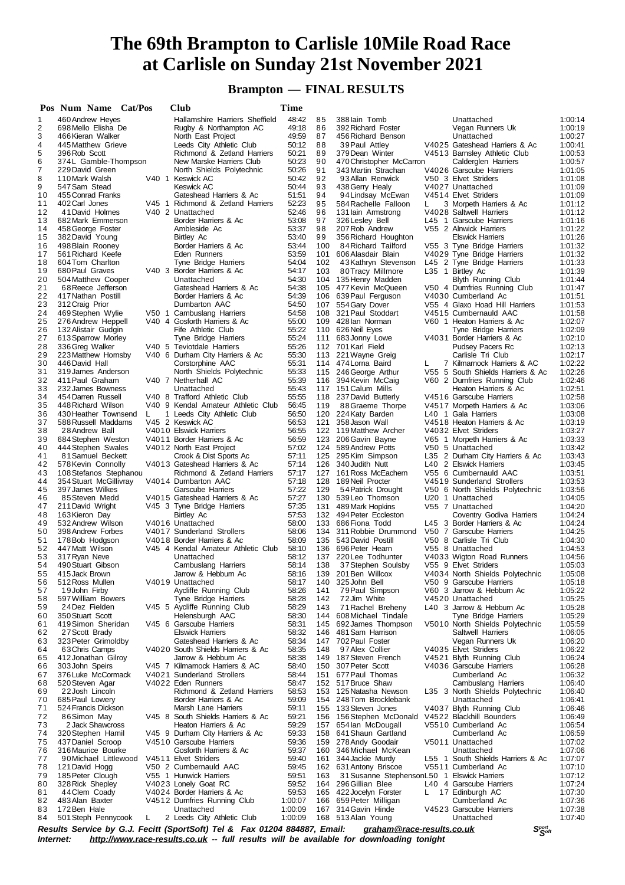# **Brampton — FINAL RESULTS**

|          | Pos Num Name Cat/Pos                      |    | Club                                                                                                     | Time           |            |                                                 |    |                                                                |                    |
|----------|-------------------------------------------|----|----------------------------------------------------------------------------------------------------------|----------------|------------|-------------------------------------------------|----|----------------------------------------------------------------|--------------------|
| 1        | 460 Andrew Heyes                          |    | Hallamshire Harriers Sheffield                                                                           | 48:42          | 85         | 388 lain Tomb                                   |    | Unattached                                                     | 1:00:14            |
| 2        | 698 Mello Elisha De                       |    | Rugby & Northampton AC                                                                                   | 49:18          | 86         | 392 Richard Foster                              |    | Vegan Runners Uk                                               | 1:00:19            |
| 3        | 466 Kieran Walker                         |    | North East Project                                                                                       | 49:59          | 87         | 456 Richard Benson                              |    | Unattached                                                     | 1:00:27            |
| 4<br>5   | 445 Matthew Grieve<br>396 Rob Scott       |    | Leeds City Athletic Club<br>Richmond & Zetland Harriers                                                  | 50:12<br>50:21 | 88<br>89   | 39 Paul Attley<br>379 Dean Winter               |    | V4025 Gateshead Harriers & Ac<br>V4513 Barnsley Athletic Club  | 1:00:41<br>1:00:53 |
| 6        | 374L Gamble-Thompson                      |    | New Marske Harriers Club                                                                                 | 50:23          | 90         | 470 Christopher McCarron                        |    | Calderglen Harriers                                            | 1:00:57            |
| 7        | 229 David Green                           |    | North Shields Polytechnic                                                                                | 50:26          | 91         | 343 Martin Strachan                             |    | V4026 Garscube Harriers                                        | 1:01:05            |
| 8        | 110 Mark Walsh                            |    | V40 1 Keswick AC                                                                                         | 50:42          | 92         | 93 Allan Renwick                                |    | V50 3 Elvet Striders                                           | 1:01:08            |
| 9        | 547 Sam Stead                             |    | Keswick AC                                                                                               | 50:44          | 93         | 438 Gerry Healy                                 |    | V4027 Unattached                                               | 1:01:09            |
| 10       | 455 Conrad Franks                         |    | Gateshead Harriers & Ac                                                                                  | 51:51          | 94         | 94 Lindsay McEwan                               |    | V4514 Elvet Striders                                           | 1:01:09            |
| 11       | 402 Carl Jones                            |    | V45 1 Richmond & Zetland Harriers                                                                        | 52:23          | 95         | 584 Rachelle Falloon                            | L  | 3 Morpeth Harriers & Ac                                        | 1:01:12            |
| 12       | 41 David Holmes                           |    | V <sub>40</sub> 2 Unattached                                                                             | 52:46          | 96         | 131 lain Armstrong                              |    | V4028 Saltwell Harriers                                        | 1:01:12            |
| 13       | 682 Mark Emmerson                         |    | Border Harriers & Ac                                                                                     | 53:08          | 97         | 326 Lesley Bell                                 |    | L45 1 Garscube Harriers                                        | 1:01:16            |
| 14       | 458 George Foster                         |    | Ambleside Ac                                                                                             | 53:37          | 98         | 207 Rob Andrew                                  |    | V55 2 Alnwick Harriers                                         | 1:01:22            |
| 15<br>16 | 382 David Young<br>498 Blain Rooney       |    | Birtley Ac<br>Border Harriers & Ac                                                                       | 53:40<br>53:44 | 99<br>100  | 356 Richard Houghton<br>84 Richard Tailford     |    | <b>Elswick Harriers</b><br>V55 3 Tyne Bridge Harriers          | 1:01:26<br>1:01:32 |
| 17       | 561 Richard Keefe                         |    | Eden Runners                                                                                             | 53:59          |            | 101 606 Alasdair Blain                          |    | V4029 Tyne Bridge Harriers                                     | 1:01:32            |
| 18       | 604 Tom Charlton                          |    | Tyne Bridge Harriers                                                                                     | 54:04          | 102        | 43Kathryn Stevenson                             |    | L45 2 Tyne Bridge Harriers                                     | 1:01:33            |
| 19       | 680 Paul Graves                           |    | V40 3 Border Harriers & Ac                                                                               | 54:17          | 103        | 80Tracy Millmore                                |    | L35 1 Birtley Ac                                               | 1:01:39            |
| 20       | 504 Matthew Cooper                        |    | Unattached                                                                                               | 54:30          |            | 104 135 Henry Madden                            |    | <b>Blyth Running Club</b>                                      | 1:01:44            |
| 21       | 68 Reece Jefferson                        |    | Gateshead Harriers & Ac                                                                                  | 54:38          |            | 105 477 Kevin McQueen                           |    | V50 4 Dumfries Running Club                                    | 1:01:47            |
| 22       | 417 Nathan Postill                        |    | Border Harriers & Ac                                                                                     | 54:39          |            | 106 639 Paul Ferguson                           |    | V4030 Cumberland Ac                                            | 1:01:51            |
| 23       | 312 Craig Prior                           |    | Dumbarton AAC                                                                                            | 54:50          |            | 107 554 Gary Dover                              |    | V55 4 Glaxo Hoad Hill Harriers                                 | 1:01:53            |
| 24       | 469 Stephen Wylie                         |    | V50 1 Cambuslang Harriers                                                                                | 54:58          |            | 108 321 Paul Stoddart                           |    | V4515 Cumbernauld AAC                                          | 1:01:58            |
| 25       | 276 Andrew Heppell                        |    | V40 4 Gosforth Harriers & Ac                                                                             | 55:00          |            | 109 428 lan Norman                              |    | V60 1 Heaton Harriers & Ac                                     | 1:02:07            |
| 26<br>27 | 132 Alistair Gudgin<br>613 Sparrow Morley |    | Fife Athletic Club<br>Tyne Bridge Harriers                                                               | 55:22<br>55:24 | 111        | 110 626 Neil Eyes<br>683 Jonny Lowe             |    | Tyne Bridge Harriers<br>V4031 Border Harriers & Ac             | 1:02:09<br>1:02:10 |
| 28       | 336 Greg Walker                           |    | V40 5 Teviotdale Harriers                                                                                | 55:26          |            | 112 701 Karl Field                              |    | Pudsey Pacers Rc                                               | 1:02:13            |
| 29       | 223 Matthew Hornsby                       |    | V40 6 Durham City Harriers & Ac                                                                          | 55:30          | 113        | 221 Wayne Greig                                 |    | Carlisle Tri Club                                              | 1:02:17            |
| 30       | 446 David Hall                            |    | Corstorphine AAC                                                                                         | 55:31          |            | 114 474 Lorna Baird                             | L  | 7 Kilmarnock Harriers & AC                                     | 1:02:22            |
| 31       | 319 James Anderson                        |    | North Shields Polytechnic                                                                                | 55:33          |            | 115 246 George Arthur                           |    | V55 5 South Shields Harriers & Ac                              | 1:02:26            |
| 32       | 411 Paul Graham                           |    | V40 7 Netherhall AC                                                                                      | 55:39          |            | 116 394 Kevin McCaig                            |    | V60 2 Dumfries Running Club                                    | 1:02:46            |
| 33       | 232 James Bowness                         |    | Unattached                                                                                               | 55:43          |            | 117 151 Calum Mills                             |    | Heaton Harriers & Ac                                           | 1:02:51            |
| 34       | 454 Darren Russell                        |    | V40 8 Trafford Athletic Club                                                                             | 55:55          |            | 118 237 David Butterly                          |    | V4516 Garscube Harriers                                        | 1:02:58            |
| 35       | 448 Richard Wilson                        |    | V40 9 Kendal Amateur Athletic Club                                                                       | 56:45          | 119        | 88Graeme Thorpe                                 |    | V4517 Morpeth Harriers & Ac                                    | 1:03:06            |
| 36       | 430 Heather Townsend                      | L. | 1 Leeds City Athletic Club                                                                               | 56:50          |            | 120 224 Katy Barden                             |    | L40 1 Gala Harriers                                            | 1:03:08            |
| 37<br>38 | 588 Russell Maddams<br>28 Andrew Ball     |    | V45 2 Keswick AC<br>V4010 Elswick Harriers                                                               | 56:53<br>56:55 |            | 121 358 Jason Wall<br>122 119 Matthew Archer    |    | V4518 Heaton Harriers & Ac<br>V4032 Elvet Striders             | 1:03:19<br>1:03:27 |
| 39       | 684 Stephen Weston                        |    | V4011 Border Harriers & Ac                                                                               | 56:59          |            | 123 206 Gavin Bayne                             |    | V65 1 Morpeth Harriers & Ac                                    | 1:03:33            |
| 40       | 444 Stephen Swales                        |    | V4012 North East Project                                                                                 | 57:02          |            | 124 589 Andrew Potts                            |    | V50 5 Unattached                                               | 1:03:42            |
| 41       | 81 Samuel Beckett                         |    | Crook & Dist Sports Ac                                                                                   | 57:11          |            | 125 295 Kim Simpson                             |    | L35 2 Durham City Harriers & Ac                                | 1:03:43            |
| 42       | 578 Kevin Connolly                        |    | V4013 Gateshead Harriers & Ac                                                                            | 57:14          |            | 126 340 Judith Nutt                             |    | L40 2 Elswick Harriers                                         | 1:03:45            |
| 43       | 108 Stefanos Stephanou                    |    | Richmond & Zetland Harriers                                                                              | 57:17          |            | 127 161 Ross McEachern                          |    | V55 6 Cumbernauld AAC                                          | 1:03:51            |
| 44       | 354 Stuart McGillivray                    |    | V4014 Dumbarton AAC                                                                                      | 57:18          |            | 128 189 Neil Procter                            |    | V4519 Sunderland Strollers                                     | 1:03:53            |
| 45       | 397 James Wilkes                          |    | Garscube Harriers                                                                                        | 57:22          | 129        | 54 Patrick Drought                              |    | V50 6 North Shields Polytechnic                                | 1:03:56            |
| 46       | 85 Steven Medd                            |    | V4015 Gateshead Harriers & Ac                                                                            | 57:27          |            | 130 539 Leo Thomson                             |    | U20 1 Unattached                                               | 1:04:05            |
| 47       | 211 David Wright                          |    | V45 3 Tyne Bridge Harriers                                                                               | 57:35          |            | 131 489 Mark Hopkins                            |    | V55 7 Unattached                                               | 1:04:20            |
| 48       | 163 Kieron Day                            |    | Birtley Ac                                                                                               | 57:53          |            | 132 494 Peter Eccleston                         |    | Coventry Godiva Harriers                                       | 1:04:24            |
| 49<br>50 | 532 Andrew Wilson<br>398 Andrew Forbes    |    | V4016 Unattached<br>V4017 Sunderland Strollers                                                           | 58:00<br>58:06 |            | 133 686 Fiona Todd<br>134 311 Robbie Drummond   |    | L45 3 Border Harriers & Ac<br>V50 7 Garscube Harriers          | 1:04:24<br>1:04:25 |
| 51       | 178 Bob Hodgson                           |    | V4018 Border Harriers & Ac                                                                               | 58:09          |            | 135 543 David Postill                           |    | V50 8 Carlisle Tri Club                                        | 1:04:30            |
| 52       | 447 Matt Wilson                           |    | V45 4 Kendal Amateur Athletic Club                                                                       | 58:10          |            | 136 696 Peter Hearn                             |    | V55 8 Unattached                                               | 1:04:53            |
| 53       | 317 Ryan Neve                             |    | Unattached                                                                                               | 58:12          |            | 137 220 Lee Todhunter                           |    | V4033 Wigton Road Runners                                      | 1:04:56            |
| 54       | 490 Stuart Gibson                         |    | Cambuslang Harriers                                                                                      | 58:14          | 138        | 37 Stephen Soulsby                              |    | V55 9 Elvet Striders                                           | 1:05:03            |
| 55       | 415 Jack Brown                            |    | Jarrow & Hebburn Ac                                                                                      | 58:16          |            | 139 201 Ben Willcox                             |    | V4034 North Shields Polytechnic                                | 1:05:08            |
| 56       | 512 Ross Mullen                           |    | V4019 Unattached                                                                                         | 58:17          | 140        | 325 John Bell                                   |    | V50 9 Garscube Harriers                                        | 1:05:18            |
| 57       | 19 John Firby                             |    | Aycliffe Running Club                                                                                    | 58:26          | 141        | 79 Paul Simpson                                 |    | V60 3 Jarrow & Hebburn Ac                                      | 1:05:22            |
| 58       | 597 William Bowers                        |    | Tyne Bridge Harriers                                                                                     | 58:28          | 142        | 72 Jim White                                    |    | V4520 Unattached                                               | 1:05:25            |
| 59       | 24 Dez Fielden                            |    | V45 5 Aycliffe Running Club                                                                              | 58:29          | 143        | 71 Rachel Breheny                               |    | L40 3 Jarrow & Hebburn Ac                                      | 1:05:28            |
| 60<br>61 | 350 Stuart Scott<br>419 Simon Sheridan    |    | Helensburgh AAC<br>V45 6 Garscube Harriers                                                               | 58:30<br>58:31 | 144<br>145 | 608 Michael Tindale<br>692 James Thompson       |    | <b>Tyne Bridge Harriers</b><br>V5010 North Shields Polytechnic | 1:05:29<br>1:05:59 |
| 62       | 27 Scott Brady                            |    | <b>Elswick Harriers</b>                                                                                  | 58:32          | 146        | 481 Sam Harrison                                |    | Saltwell Harriers                                              | 1:06:05            |
| 63       | 323 Peter Grimoldby                       |    | Gateshead Harriers & Ac                                                                                  | 58:34          |            | 147 702 Paul Foster                             |    | Vegan Runners Uk                                               | 1:06:20            |
| 64       | 63 Chris Camps                            |    | V4020 South Shields Harriers & Ac                                                                        | 58:35          | 148        | 97 Alex Collier                                 |    | V4035 Elvet Striders                                           | 1:06:22            |
| 65       | 412 Jonathan Gilroy                       |    | Jarrow & Hebburn Ac                                                                                      | 58:38          | 149        | 187 Steven French                               |    | V4521 Blyth Running Club                                       | 1:06:24            |
| 66       | 303 John Speirs                           |    | V45 7 Kilmarnock Harriers & AC                                                                           | 58:40          | 150        | 307 Peter Scott                                 |    | V4036 Garscube Harriers                                        | 1:06:28            |
| 67       | 376 Luke McCormack                        |    | V4021 Sunderland Strollers                                                                               | 58:44          | 151        | 677 Paul Thomas                                 |    | Cumberland Ac                                                  | 1:06:32            |
| 68       | 520 Steven Agar                           |    | V4022 Eden Runners                                                                                       | 58:47          |            | 152 517 Bruce Shaw                              |    | Cambuslang Harriers                                            | 1:06:40            |
| 69       | 22 Josh Lincoln                           |    | Richmond & Zetland Harriers                                                                              | 58:53          | 153        | 125 Natasha Newson                              |    | L35 3 North Shields Polytechnic                                | 1:06:40            |
| 70       | 685 Paul Lowery                           |    | Border Harriers & Ac                                                                                     | 59:09          |            | 154 248 Tom Brocklebank                         |    | Unattached                                                     | 1:06:41            |
| 71       | 524 Francis Dickson                       |    | Marsh Lane Harriers                                                                                      | 59:11          | 155        | 133 Steven Jones                                |    | V4037 Blyth Running Club                                       | 1:06:46            |
| 72       | 86Simon May                               |    | V45 8 South Shields Harriers & Ac                                                                        | 59:21          | 156        | 156 Stephen McDonald                            |    | V4522 Blackhill Bounders                                       | 1:06:49            |
| 73<br>74 | 2 Jack Shawcross<br>320 Stephen Hamil     |    | Heaton Harriers & Ac<br>V45 9 Durham City Harriers & Ac                                                  | 59:29<br>59:33 | 157<br>158 | 654 lan McDougall<br>641 Shaun Gartland         |    | V5510 Cumberland Ac<br>Cumberland Ac                           | 1:06:54<br>1:06:59 |
| 75       | 437 Daniel Scroop                         |    | V4510 Garscube Harriers                                                                                  | 59:36          | 159        | 278 Andy Goodair                                |    | V5011 Unattached                                               | 1:07:02            |
| 76       | 316 Maurice Bourke                        |    | Gosforth Harriers & Ac                                                                                   | 59:37          |            | 160 346 Michael McKean                          |    | Unattached                                                     | 1:07:06            |
| 77       | 90 Michael Littlewood                     |    | V4511 Elvet Striders                                                                                     | 59:40          |            | 161 344 Jackie Murdy                            |    | L55 1 South Shields Harriers & Ac                              | 1:07:07            |
| 78       | 121 David Hogg                            |    | V50 2 Cumbernauld AAC                                                                                    | 59:45          |            | 162 631 Antony Briscoe                          |    | V5511 Cumberland Ac                                            | 1:07:10            |
| 79       | 185 Peter Clough                          |    | V55 1 Hunwick Harriers                                                                                   | 59:51          | 163        | 31 Susanne StephensonL50 1 Elswick Harriers     |    |                                                                | 1:07:12            |
| 80       | 328 Rick Shepley                          |    | V4023 Lonely Goat RC                                                                                     | 59:52          | 164        | 296 Gillian Blee                                |    | L40 4 Garscube Harriers                                        | 1:07:24            |
| 81       | 44 Clem Coady                             |    | V4024 Border Harriers & Ac                                                                               | 59:53          |            | 165 422 Jocelyn Forster                         | L. | 17 Edinburgh AC                                                | 1:07:30            |
| 82       | 483 Alan Baxter                           |    | V4512 Dumfries Running Club                                                                              | 1:00:07        |            | 166 659 Peter Milligan                          |    | Cumberland Ac                                                  | 1:07:36            |
| 83       | 172 Ben Hale                              |    | Unattached                                                                                               | 1:00:09        |            | 167 314 Gavin Hinde                             |    | V4523 Garscube Harriers                                        | 1:07:38            |
| 84       | 501 Steph Pennycook                       | L  | 2 Leeds City Athletic Club<br>Bosylte Carvice by C. I. Fooitt (SportSoft) Tol 8. Fay 01201 881887 Email. | 1:00:09        |            | 168 513 Alan Young<br>araham@raco-roculte co uk |    | Unattached<br>Coort                                            | 1:07:40            |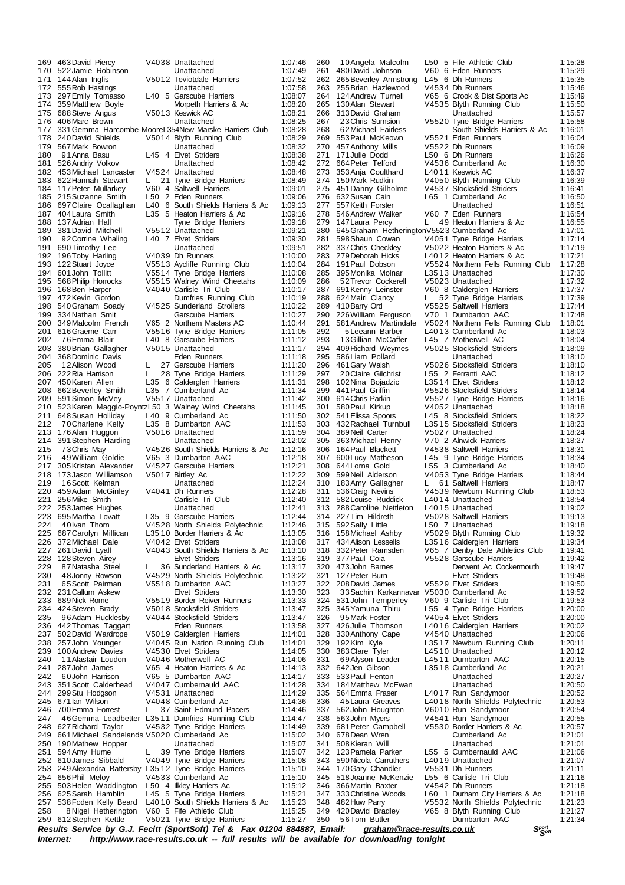| 169        | 463 David Piercy                                      |          | V4038 Unattached                                                          | 1:07:46            | 260        | 10 Angela Malcolm                               |    | L50 5 Fife Athletic Club                                 | 1:15:28            |
|------------|-------------------------------------------------------|----------|---------------------------------------------------------------------------|--------------------|------------|-------------------------------------------------|----|----------------------------------------------------------|--------------------|
|            | 170 522 Jamie Robinson                                |          | Unattached                                                                | 1:07:49            | 261        | 480 David Johnson                               |    | V60 6 Eden Runners                                       | 1:15:29            |
| 171        | 144 Alan Inglis                                       |          | V5012 Teviotdale Harriers                                                 | 1:07:52            | 262        | 265 Beverley Armstrong                          |    | L45 6 Dh Runners                                         | 1:15:35            |
|            | 172 555 Rob Hastings                                  |          | Unattached                                                                | 1:07:58            | 263        | 255 Brian Hazlewood                             |    | V4534 Dh Runners                                         | 1:15:46            |
| 173        | 297 Emily Tomasso                                     |          | L40 5 Garscube Harriers                                                   | 1:08:07            | 264        | 124 Andrew Turnell                              |    | V65 6 Crook & Dist Sports Ac                             | 1:15:49            |
| 174        | 359 Matthew Boyle<br>175 688 Steve Angus              |          | Morpeth Harriers & Ac<br>V5013 Keswick AC                                 | 1:08:20<br>1:08:21 | 266        | 265 130 Alan Stewart<br>313 David Graham        |    | V4535 Blyth Running Club<br>Unattached                   | 1:15:50<br>1:15:57 |
|            | 176 406 Marc Brown                                    |          | Unattached                                                                | 1:08:25            | 267        | 23 Chris Sumsion                                |    | V5520 Tyne Bridge Harriers                               | 1:15:58            |
| 177        |                                                       |          | 331 Gemma Harcombe-MooreL354New Marske Harriers Club                      | 1:08:28            | 268        | 62 Michael Fairless                             |    | South Shields Harriers & Ac                              | 1:16:01            |
| 178        | 240 David Shields                                     |          | V5014 Blyth Running Club                                                  | 1:08:29            |            | 269 553 Paul McKeown                            |    | V5521 Eden Runners                                       | 1:16:04            |
|            | 179 567 Mark Bowron                                   |          | Unattached                                                                | 1:08:32            |            | 270 457 Anthony Mills                           |    | V5522 Dh Runners                                         | 1:16:09            |
| 180        | 91 Anna Basu                                          |          | L45 4 Elvet Striders                                                      | 1:08:38            | 271        | 171 Julie Dodd                                  |    | L50 6 Dh Runners                                         | 1:16:26            |
| 181        | 526 Andriy Volkov                                     |          | Unattached                                                                | 1:08:42            |            | 272 664 Peter Telford                           |    | V4536 Cumberland Ac                                      | 1:16:30            |
|            | 182 453 Michael Lancaster                             |          | V4524 Unattached                                                          | 1:08:48            | 273        | 353 Anja Coulthard                              |    | L4011 Keswick AC                                         | 1:16:37            |
|            | 183 622 Hannah Stewart                                | L.       | 21 Tyne Bridge Harriers                                                   | 1:08:49            |            | 274 150 Mark Rudkin                             |    | V4050 Blyth Running Club                                 | 1:16:39            |
|            | 184 117 Peter Mullarkey                               |          | V60 4 Saltwell Harriers                                                   | 1:09:01            | 275        | 451 Danny Gilholme                              |    | V4537 Stocksfield Striders                               | 1:16:41            |
|            | 185 215 Suzanne Smith                                 |          | L50 2 Eden Runners                                                        | 1:09:06            | 276        | 632 Susan Cain                                  |    | L65 1 Cumberland Ac                                      | 1:16:50            |
|            | 186 697 Claire Ocallaghan                             |          | L40 6 South Shields Harriers & Ac                                         | 1:09:13            | 277        | 557 Keith Forster                               |    | Unattached                                               | 1:16:51            |
|            | 187 404 Laura Smith                                   |          | L35 5 Heaton Harriers & Ac                                                | 1:09:16            | 278        | 546 Andrew Walker                               |    | V60 7 Eden Runners                                       | 1:16:54            |
|            | 188 137 Adrian Hall                                   |          | Tyne Bridge Harriers                                                      | 1:09:18            | 279        | 147 Laura Percy                                 | L. | 49 Heaton Harriers & Ac                                  | 1:16:55            |
| 189        | 381 David Mitchell                                    |          | V5512 Unattached                                                          | 1:09:21            |            | 280 645 Graham Hetherington V5523 Cumberland Ac |    |                                                          | 1:17:01            |
| 190        | 92 Corrine Whaling                                    |          | L40 7 Elvet Striders                                                      | 1:09:30            | 281        | 598 Shaun Cowan                                 |    | V4051 Tyne Bridge Harriers                               | 1:17:14            |
| 191        | 690 Timothy Lee<br>192 196 Toby Harling               |          | Unattached<br>V4039 Dh Runners                                            | 1:09:51<br>1:10:00 | 282<br>283 | 337 Chris Checkley<br>279 Deborah Hicks         |    | V5022 Heaton Harriers & Ac<br>L4012 Heaton Harriers & Ac | 1:17:19<br>1:17:21 |
|            | 193 122 Stuart Joyce                                  |          | V5513 Aycliffe Running Club                                               | 1:10:04            |            | 284 191 Paul Dobson                             |    | V5524 Northern Fells Running Club                        | 1:17:28            |
| 194        | 601 John Tollitt                                      |          | V5514 Tyne Bridge Harriers                                                | 1:10:08            | 285        | 395 Monika Molnar                               |    | L3513 Unattached                                         | 1:17:30            |
|            | 195 568 Philip Horrocks                               |          | V5515 Walney Wind Cheetahs                                                | 1:10:09            | 286        | 52 Trevor Cockerell                             |    | V5023 Unattached                                         | 1:17:32            |
|            | 196 168 Ben Harper                                    |          | V4040 Carlisle Tri Club                                                   | 1:10:17            | 287        | 691 Kenny Leinster                              |    | V60 8 Calderglen Harriers                                | 1:17:37            |
|            | 197 472 Kevin Gordon                                  |          | Dumfries Running Club                                                     | 1:10:19            | 288        | 624 Mairi Clancy                                | L  | 52 Tyne Bridge Harriers                                  | 1:17:39            |
|            | 198 540 Graham Soady                                  |          | V4525 Sunderland Strollers                                                | 1:10:22            | 289        | 410 Barry Ord                                   |    | V5525 Saltwell Harriers                                  | 1:17:44            |
|            | 199 334 Nathan Smit                                   |          | Garscube Harriers                                                         | 1:10:27            | 290        | 226 William Ferguson                            |    | V70 1 Dumbarton AAC                                      | 1:17:48            |
|            | 200 349 Malcolm French                                |          | V65 2 Northern Masters AC                                                 | 1:10:44            | 291        | 581 Andrew Martindale                           |    | V5024 Northern Fells Running Club                        | 1:18:01            |
| 201        | 616 Graeme Carr                                       |          | V5516 Tyne Bridge Harriers                                                | 1:11:05            | 292        | 5 Leeann Barber                                 |    | L4013 Cumberland Ac                                      | 1:18:03            |
| 202        | 76Emma Blair                                          |          | L40 8 Garscube Harriers                                                   | 1:11:12            | 293        | 13 Gillian McCaffer                             |    | L45 7 Motherwell AC                                      | 1:18:04            |
| 203        | 380 Brian Gallagher                                   |          | V5015 Unattached                                                          | 1:11:17            | 294        | 409 Richard Weymes                              |    | V5025 Stocksfield Striders                               | 1:18:09            |
| 204        | 368 Dominic Davis                                     |          | Eden Runners                                                              | 1:11:18            | 295<br>296 | 586 Liam Pollard                                |    | Unattached                                               | 1:18:10            |
| 205        | 12 Alison Wood<br>206 222 Ria Harrison                | L.<br>L. | 27 Garscube Harriers<br>28 Tyne Bridge Harriers                           | 1:11:20<br>1:11:29 | 297        | 461 Gary Walsh<br>20 Claire Gilchrist           |    | V5026 Stocksfield Striders<br>L55 2 Ferranti AAC         | 1:18:10<br>1:18:12 |
|            | 207 450 Karen Allen                                   |          | L35 6 Calderglen Harriers                                                 | 1:11:31            | 298        | 102 Nina Bojadzic                               |    | L3514 Elvet Striders                                     | 1:18:12            |
|            | 208 662 Beverley Smith                                |          | L35 7 Cumberland Ac                                                       | 1:11:34            | 299        | 441 Paul Griffin                                |    | V5526 Stocksfield Striders                               | 1:18:14            |
|            | 209 591 Simon McVey                                   |          | V5517 Unattached                                                          | 1:11:42            |            | 300 614 Chris Parkin                            |    | V5527 Tyne Bridge Harriers                               | 1:18:16            |
|            | 210 523 Karen Maggio-PoyntzL50 3 Walney Wind Cheetahs |          |                                                                           | 1:11:45            | 301        | 580 Paul Kirkup                                 |    | V4052 Unattached                                         | 1:18:18            |
| 211        | 648 Susan Holliday                                    |          | L40 9 Cumberland Ac                                                       | 1:11:50            | 302        | 541 Elissa Spoors                               |    | L45 8 Stocksfield Striders                               | 1:18:22            |
| 212        | 70 Charlene Kelly                                     |          | L35 8 Dumbarton AAC                                                       | 1:11:53            | 303        | 432 Rachael Turnbull                            |    | L3515 Stocksfield Striders                               | 1:18:23            |
|            | 213 176 Alan Huggon                                   |          | V5016 Unattached                                                          | 1:11:59            | 304        | 389 Neil Carter                                 |    | V5027 Unattached                                         | 1:18:24            |
| 214        | 391 Stephen Harding                                   |          | Unattached                                                                | 1:12:02            | 305        | 363 Michael Henry                               |    | V70 2 Alnwick Harriers                                   | 1:18:27            |
| 215        | 73 Chris May                                          |          | V4526 South Shields Harriers & Ac                                         | 1:12:16            | 306        | 164 Paul Blackett                               |    | V4538 Saltwell Harriers                                  | 1:18:31            |
| 216        | 49 William Goldie                                     |          | V65 3 Dumbarton AAC                                                       | 1:12:18            |            | 307 600 Lucy Matheson                           |    | L45 9 Tyne Bridge Harriers                               | 1:18:34            |
| 217        | 305 Kristan Alexander                                 |          | V4527 Garscube Harriers                                                   | 1:12:21            | 308        | 644 Lorna Gold                                  |    | L55 3 Cumberland Ac                                      | 1:18:40            |
| 218<br>219 | 173 Jason Williamson<br>16Scott Kelman                |          | V5017 Birtley Ac                                                          | 1:12:22            | 309        | 599 Neil Alderson                               | L. | V4053 Tyne Bridge Harriers                               | 1:18:44            |
|            | 220 459 Adam McGinley                                 |          | Unattached<br>V4041 Dh Runners                                            | 1:12:24<br>1:12:28 | 311        | 310 183 Amy Gallagher<br>536 Craig Nevins       |    | 61 Saltwell Harriers<br>V4539 Newburn Running Club       | 1:18:47<br>1:18:53 |
| 221        | 256 Mike Smith                                        |          | Carlisle Tri Club                                                         | 1:12:40            |            | 312 582 Louise Ruddick                          |    | L4014 Unattached                                         | 1:18:54            |
|            | 222 253 James Hughes                                  |          | Unattached                                                                | 1:12:41            |            | 313 288 Caroline Nettleton                      |    | L4015 Unattached                                         | 1:19:02            |
|            | 223 695 Martha Lovatt                                 |          | L35 9 Garscube Harriers                                                   | 1:12:44            |            | 314 227 Tim Hildreth                            |    | V5028 Saltwell Harriers                                  | 1:19:13            |
| 224        | 40 Ivan Thorn                                         |          | V4528 North Shields Polytechnic                                           | 1:12:46            |            | 315 592 Sally Little                            |    | L50 7 Unattached                                         | 1:19:18            |
| 225        | 687 Carolyn Millican                                  |          | L3510 Border Harriers & Ac                                                | 1:13:05            | 316        | 158 Michael Ashby                               |    | V5029 Blyth Running Club                                 | 1:19:32            |
| 226        | 372 Michael Dale                                      |          | V4042 Elvet Striders                                                      | 1:13:08            | 317        | 434 Alison Lessells                             |    | L3516 Calderglen Harriers                                | 1:19:34            |
| 227        | 261 David Lyall                                       |          | V4043 South Shields Harriers & Ac                                         | 1:13:10            | 318        | 332 Peter Ramsden                               |    | V65 7 Denby Dale Athletics Club                          | 1:19:41            |
| 228        | 128 Steven Airey                                      |          | <b>Elvet Striders</b>                                                     | 1:13:16            | 319        | 377 Paul Coia                                   |    | V5528 Garscube Harriers                                  | 1:19:42            |
| 229        | 87 Natasha Steel                                      | Ц.       | 36 Sunderland Harriers & Ac                                               | 1:13:17            |            | 320 473 John Barnes                             |    | Derwent Ac Cockermouth                                   | 1:19:47            |
| 230        | 48 Jonny Rowson                                       |          | V4529 North Shields Polytechnic                                           | 1:13:22            |            | 321 127 Peter Burn                              |    | <b>Elvet Striders</b>                                    | 1:19:48            |
| 231        | 65 Scott Pairman                                      |          | V5518 Dumbarton AAC                                                       | 1:13:27            |            | 322 208 David James                             |    | V5529 Elvet Striders                                     | 1:19:50            |
| 233        | 232 231 Callum Askew<br>689 Nick Rome                 |          | <b>Elvet Striders</b><br>V5519 Border Reiver Runners                      | 1:13:30<br>1:13:33 | 323<br>324 | 33 Sachin Karkannavar<br>531 John Temperley     |    | V5030 Cumberland Ac<br>V60 9 Carlisle Tri Club           | 1:19:52<br>1:19:53 |
| 234        | 424 Steven Brady                                      |          | V5018 Stocksfield Striders                                                | 1:13:47            | 325        | 345 Yamuna Thiru                                |    | L55 4 Tyne Bridge Harriers                               | 1:20:00            |
| 235        | 96 Adam Hucklesby                                     |          | V4044 Stocksfield Striders                                                | 1:13:47            | 326        | 95 Mark Foster                                  |    | V4054 Elvet Striders                                     | 1:20:00            |
|            | 236 442 Thomas Taggart                                |          | Eden Runners                                                              | 1:13:58            | 327        | 426 Julie Thomson                               |    | L4016 Calderglen Harriers                                | 1:20:02            |
| 237        | 502 David Wardrope                                    |          | V5019 Calderglen Harriers                                                 | 1:14:01            | 328        | 330 Anthony Cape                                |    | V4540 Unattached                                         | 1:20:06            |
| 238        | 257 John Younger                                      |          | V4045 Run Nation Running Club                                             | 1:14:01            | 329        | 192Kim Kyle                                     |    | L3517 Newburn Running Club                               | 1:20:11            |
| 239        | 100 Andrew Davies                                     |          | V4530 Elvet Striders                                                      | 1:14:05            | 330        | 383 Clare Tyler                                 |    | L4510 Unattached                                         | 1:20:12            |
| 240        | 11 Alastair Loudon                                    |          | V4046 Motherwell AC                                                       | 1:14:06            | 331        | 69 Alyson Leader                                |    | L4511 Dumbarton AAC                                      | 1:20:15            |
| 241        | 287 John James                                        |          | V65 4 Heaton Harriers & Ac                                                | 1:14:13            |            | 332 642 Jen Gibson                              |    | L3518 Cumberland Ac                                      | 1:20:21            |
| 242        | 60John Harrison                                       |          | V65 5 Dumbarton AAC                                                       | 1:14:17            | 333        | 533 Paul Fenton                                 |    | Unattached                                               | 1:20:27            |
| 243        | 351 Scott Calderhead                                  |          | V4047 Cumbernauld AAC                                                     | 1:14:28            | 334        | 184 Matthew McEwan                              |    | Unattached                                               | 1:20:50            |
| 244        | 299 Stu Hodgson                                       |          | V4531 Unattached                                                          | 1:14:29            | 335        | 564 Emma Fraser                                 |    | L4017 Run Sandymoor                                      | 1:20:52            |
| 245        | 671 lan Wilson                                        |          | V4048 Cumberland Ac                                                       | 1:14:36            | 336        | 45 Laura Greaves                                |    | L4018 North Shields Polytechnic                          | 1:20:53            |
| 246<br>247 | 700 Emma Forrest                                      | L.       | 37 Saint Edmund Pacers<br>46 Gemma Leadbetter L3511 Dumfries Running Club | 1:14:46<br>1:14:47 | 337<br>338 | 562 John Houghton<br>563 John Myers             |    | V6010 Run Sandymoor<br>V4541 Run Sandymoor               | 1:20:54<br>1:20:55 |
| 248        | 627 Richard Taylor                                    |          | V4532 Tyne Bridge Harriers                                                | 1:14:49            | 339        | 681 Peter Campbell                              |    | V5530 Border Harriers & Ac                               | 1:20:57            |
| 249        | 661 Michael Sandelands V5020 Cumberland Ac            |          |                                                                           | 1:15:02            |            | 340 678 Dean Wren                               |    | Cumberland Ac                                            | 1:21:01            |
| 250        | 190 Mathew Hopper                                     |          | Unattached                                                                | 1:15:07            | 341        | 508 Kieran Will                                 |    | Unattached                                               | 1:21:01            |
| 251        | 594 Amy Hume                                          | L.       | 39 Tyne Bridge Harriers                                                   | 1:15:07            |            | 342 123 Pamela Parker                           |    | L55 5 Cumbernauld AAC                                    | 1:21:06            |
| 252        | 610 James Sibbald                                     |          | V4049 Tyne Bridge Harriers                                                | 1:15:08            |            | 343 590 Nicola Carruthers                       |    | L4019 Unattached                                         | 1:21:07            |
| 253        | 249 Alexandra Battersby L3512 Tyne Bridge Harriers    |          |                                                                           | 1:15:10            |            | 344 170 Gary Chandler                           |    | V5531 Dh Runners                                         | 1:21:11            |
| 254        | 656 Phil Meloy                                        |          | V4533 Cumberland Ac                                                       | 1:15:10            |            | 345 518 Joanne McKenzie                         |    | L55 6 Carlisle Tri Club                                  | 1:21:16            |
| 255        | 503 Helen Waddington                                  |          | L50 4 Ilkley Harriers Ac                                                  | 1:15:12            | 346        | 366 Martin Baxter                               |    | V4542 Dh Runners                                         | 1:21:18            |
|            | 256 625 Sarah Hamblin                                 |          | L45 5 Tyne Bridge Harriers                                                | 1:15:21            | 347        | 333 Christine Woods                             |    | L60 1 Durham City Harriers & Ac                          | 1:21:18            |
| 257        | 538 Foden Kelly Beard                                 |          | L4010 South Shields Harriers & Ac                                         | 1:15:23            | 348        | 482 Huw Parry                                   |    | V5532 North Shields Polytechnic                          | 1:21:23            |
| 258        | 8 Nigel Hetherington<br>259 612 Stephen Kettle        |          | V60 5 Fife Athletic Club<br>V5021 Tyne Bridge Harriers                    | 1:15:25<br>1:15:27 | 350        | 349 420 David Bradley<br>56Tom Butler           |    | V65 8 Blyth Running Club<br>Dumbarton AAC                | 1:21:27<br>1:21:34 |
|            |                                                       |          | Results Service by G.J. Fecitt (SportSoft) Tel & Fax 01204 884887. Email: |                    |            | araham@race-results.co.uk                       |    | Sport                                                    |                    |

Results Service by G.J. Fecitt (SportSoft) Tel & Fax 01204 884887, Email: <u>[graham@race-results.co.uk](mailto:graham@race-results.co.uk)</u> S<sup>oon</sup><br>Internet: <u><http://www.race-results.co.uk></u> -- full results will be available for downloading tonight

1:15:20<br>1:15:29<br>1:15:35<br>1:15:46

 $1:18:10$ 

1:18:53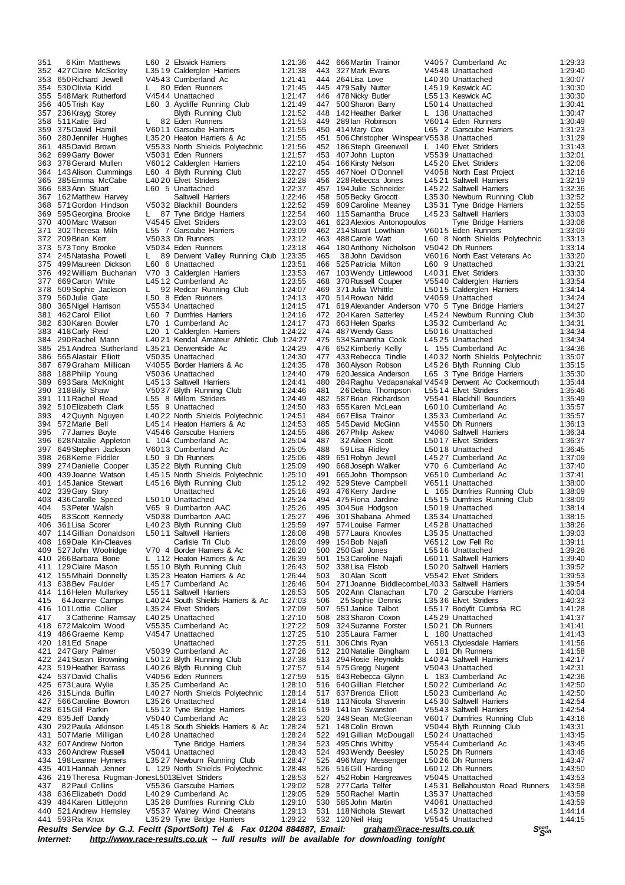351 6 Kim Matthews L60 2 Elswick Harriers 1:21:36<br>352 427 Claire McSorley L35 19 Calderglen Harriers 1:21:38 427Claire McSorley L35 19 Calderglen Harriers 1:21:38 650Richard Jewell V4543 Cumberland Ac 1:21:41 530Olivia Kidd L 80 Eden Runners 1:21:45 548 Mark Rutherford V4544 Unattached<br>105 Trish Kay 160 3 Avcliffe Runr 405Trish Kay L60 3 Aycliffe Running Club 1:21:49 236Krayg Storey Blyth Running Club 1:21:52 358 511 Katie Bird L 82 Eden Runners 1:21:53<br>359 375 David Hamill V6011 Garscube Harriers 1:21:55 375David Hamill V6011 Garscube Harriers 1:21:55 280Jennifer Hughes L35 20 Heaton Harriers & Ac 1:21:55 485David Brown V5533 North Shields Polytechnic 1:21:56 699 Garry Bower<br>378 Gerard Mullen 378Gerard Mullen V6012 Calderglen Harriers 1:22:10 143Alison Cummings L60 4 Blyth Running Club 1:22:27 385Emma McCabe L40 20 Elvet Striders 1:22:28 1:22:37<br>361 Saltwell Harriers 1:22:46 162Matthew Harvey Saltwell Harriers 1:22:46 571Gordon Hindson V5032 Blackhill Bounders 1:22:52 87 Tyne Bridge Harriers 1:22:54<br>545 Elvet Striders 1:23:03 400Marc Watson V4545 Elvet Striders 1:23:03 302Theresa Miln L55 7 Garscube Harriers 1:23:09 209Brian Kerr V5033 Dh Runners 1:23:12 373 573Tony Brooke V5034 Eden Runners<br>374 245Natasha Powell L 89 Derwent Valley 245Natasha Powell L 89 Derwent Valley Running Club 1:23:35 499 Maureen Dickson 492William Buchanan V70 3 Calderglen Harriers 1:23:53 377 669Caron White L45 12 Cumberland Ac 1:23:55 509Sophie Jackson L 92 Redcar Running Club 1:24:07 560Julie Gate L50 8 Eden Runners 1:24:13 365Nigel Harrison V5534 Unattached 1:24:15 L60 7 Dumfries Harriers 630Karen Bowler L70 1 Cumberland Ac 1:24:17 383 418 Carly Reid L20 1 Calderglen Harriers<br>384 290 Rachel Mann L40 21 Kendal Amateur Atl 290Rachel Mann L40 21 Kendal Amateur Athletic Club 1:24:27 251Andrea Sutherland L35 21 Derwentside Ac 1:24:29 386 565 Alastair Elliott V5035 Unattached 1:24:30<br>387 679 Graham Millican V4055 Border Harriers & Ac 1:24:35 679Graham Millican V4055 Border Harriers & Ac 1:24:35 188Philip Young V5036 Unattached 1:24:40 389 693Sara McKnight L45 13 Saltwell Harriers 1:24:41 318Billy Shaw V5037 Blyth Running Club 1:24:46 111Rachel Read L55 8 Millom Striders 1:24:49 510Elizabeth Clark L55 9 Unattached 1:24:50 42Quynh Nguyen L40 22 North Shields Polytechnic 1:24:51 572Marie Bell L45 14 Heaton Harriers & Ac 1:24:53 77James Boyle V4546 Garscube Harriers 1:24:55 628Natalie Appleton L 104 Cumberland Ac 1:25:04 649Stephen Jackson V6013 Cumberland Ac 1:25:05 398 268Kerrie Fiddler L50 9 Dh Runners 1:25:06 399 274 Danielle Cooper L35 22 Blyth Running Club 1:25:09<br>400 439 Joanne Watson L45 15 North Shields Polytechnic 1:25:10 439Joanne Watson L45 15 North Shields Polytechnic 1:25:10 145Janice Stewart L45 16 Blyth Running Club 1:25:12 339 Gary Story<br>436 Carolle Speed 403 436 Carolle Speed L50 10 Unattached 1:25:24<br>404 53 Peter Walsh V65 9 Dumbarton AAC 1:25:26 404 53 Peter Walsh V65 9 Dumbarton AAC 1:25:26<br>405 83 Scott Kennedy V5038 Dumbarton AAC 1:25:26 83Scott Kennedy V5038 Dumbarton AAC 1:25:27 361Lisa Scorer L40 23 Blyth Running Club 1:25:59 114Gillian Donaldson L50 11 Saltwell Harriers 1:26:08 169 Dale Kin-Cleaves<br>527 John Woolridge VZ0 527John Woolridge V70 4 Border Harriers & Ac 1:26:20 410 266 Barbara Bone L 112 Heaton Harriers & Ac 1:26:39<br>411 129 Claire Mason L55 10 Blyth Running Club 1:26:43 129 Claire Mason L55 10 Blyth Running Club 1:26:43<br>155 Mhairi Donnelly L35 23 Heaton Harriers & Ac 1:26:44 155Mhairi Donnelly L35 23 Heaton Harriers & Ac 1:26:44 638Bev Faulder L45 17 Cumberland Ac 1:26:46 L55 11 Saltwell Harriers 64Joanne Camps L40 24 South Shields Harriers & Ac 1:27:03 416 101 Lottie Collier L35 24 Elvet Striders 1:27:09<br>417 3 Catherine Ramsay L40 25 Unattached 1:27:10 417 3 Catherine Ramsay 140 25 Unattached 1:27:10<br>418 672 Malcolm Wood 1:5335 Cumberland Ac 1:27:22 672Malcolm Wood V5535 Cumberland Ac 1:27:22 419 486 Graeme Kemp  $V4547$  Unattached 1:27:25<br>420 181 Ed Snape Unattached 1:27:25 181Ed Snape Unattached 1:27:25 247Gary Palmer V5039 Cumberland Ac 1:27:26 241Susan Browning L50 12 Blyth Running Club 1:27:38 519 Heather Barrass L40 26 Blyth Running Club<br>537 David Challis V40 56 Eden Runners 537David Challis V4056 Eden Runners 1:27:59 673Laura Wylie L35 25 Cumberland Ac 1:28:10 128:14 L4027 North Shields Polytechnic 1:28:14 427 566 Caroline Bowron L35 26 Unattached 1:28:14<br>428 615 Gill Parkin L55 12 Tune Bridge Harriers 1:28:16 615Gill Parkin L55 12 Tyne Bridge Harriers 1:28:16 V5040 Cumberland Ac 292Paula Atkinson L45 18 South Shields Harriers & Ac 1:28:24 430 292 Paula Atkinson L45 18 South Shields Harriers & Ac 1:28:24<br>431 507 Marie Milligan L40 28 Unattached 1:28:24<br>432 607 Andrew Norton Tyne Bridge Harriers 1:28:34 607Andrew Norton Tyne Bridge Harriers 1:28:34 433 260 Andrew Russell V5041 Unattached 1:28:43<br>434 1981 eanne Hymers 1.3527 Newburn Running Club 1:28:47 198Leanne Hymers L35 27 Newburn Running Club 1:28:47 L 129 North Shields Polytechnic 436 219 Theresa Rugman-JonesL5013 Elvet Striders 1:28:53<br>437 82 Paul Collins 1:2536 Garscube Harriers 1:29:02 437 82Paul Collins V5536 Garscube Harriers 1:29:02<br>438 636 Elizabeth Dodd L40 29 Cumberland Ac 1:29:05 438 636 Elizabeth Dodd L40 29 Cumberland Ac 1:29:05<br>439 484 Karen Littlejohn L35 28 Dumfries Running Club 1:29:10 484Karen Littlejohn L35 28 Dumfries Running Club 1:29:10 440 521 Andrew Hemsley V5537 Walney Wind Cheetahs 1:29:13<br>441 593 Ria Knox L35 29 Tyne Bridge Harriers 1:29:22 L35 29 Tyne Bridge Harriers

 666Martin Trainor V4057 Cumberland Ac 1:29:33 327Mark Evans V4548 Unattached 1:29:40 264Lisa Love L40 30 Unattached 1:30:07 479Sally Nutter L45 19 Keswick AC 1:30:30 478 Nicky Butler L55 13 Keswick AC<br>500 Sharon Barry 1:50:14 Unattached 447 500 Sharon Barry L50 14 Unattached 1:30:41<br>448 142 Heather Barker LL 138 Unattached 1:30:47 142Heather Barker L 138 Unattached 1:30:47 289Ian Robinson V6014 Eden Runners 1:30:49 450 414Mary Cox L65 2 Garscube Harriers 1:31:23<br>451 506 Christopher Winspear V5538 Unattached 1:31:29 451 506Christopher WinspearV5538 Unattached 1:31:29<br>452 186Steph Greenwell L 140 Elvet Striders 1:31:43 452 186 Steph Greenwell L 140 Elvet Striders 1:31:43<br>453 107 John Lunton V5539 Unattached 1:32:01 407 John Lupton<br>166 Kirsty Nelson 166Kirsty Nelson L45 20 Elvet Striders 1:32:06 467Noel O'Donnell V4058 North East Project 1:32:16 228Rebecca Jones L45 21 Saltwell Harriers 1:32:19 194 Julie Schneider L45 22 Saltwell Harriers 1:32:36<br>505 Becky Grocott L35 30 Newburn Running Club 1:32:52 505Becky Grocott L35 30 Newburn Running Club 1:32:52 609Caroline Meaney L35 31 Tyne Bridge Harriers 1:32:55 L4523 Saltwell Harriers<br>s Tyne Bridge Harriers 623Alexios Antonopoulos Tyne Bridge Harriers 1:33:06 462 214 Stuart Lowthian V6015 Eden Runners 1:33:09<br>463 488 Carole Watt L60 8 North Shields Polytechnic 1:33:13 488Carole Watt L60 8 North Shields Polytechnic 1:33:13 180Anthony Nicholson V5042 Dh Runners 1:33:14 465 38John Davidson V6016 North East Veterans Ac 1:33:20 466 525 Patricia Milton L60 9 Unattached 1:33:21<br>467 103 Wendy Littlewood L40 31 Elvet Striders 11:33:30 167 103 Wendy Littlewood L40 31 Elvet Striders 1:33:30<br>468 370 Russell Couper 105540 Calderglen Harriers 1:33:54 468 370 Russell Couper V5540 Calderglen Harriers 1:33:54<br>469 371 Julia Whittle L5015 Calderglen Harriers 1:34:14 371Julia Whittle L50 15 Calderglen Harriers 1:34:14 470 514 Rowan Nidd V4059 Unattached 1:34:24 1:34:24 471 619 Alexander Anderson V70 5 Tyne Bridge Harriers 1:34:27<br>472 204 Karen Satterley L45 24 Newburn Running Club 1:34:30 L45 24 Newburn Running Club 473 663 Helen Sparks L35 32 Cumberland Ac 1:34:31<br>474 487 Wendy Gass L50 16 Unattached 1:34:34 474 487 Wendy Gass L50 16 Unattached 1:34:34<br>475 534 Samantha Cook L45 25 Unattached 1:34:34 534Samantha Cook L45 25 Unattached 1:34:34 652Kimberly Kelly L 155 Cumberland Ac 1:34:36 433Rebecca Tindle L40 32 North Shields Polytechnic 1:35:07 360Alyson Robson L45 26 Blyth Running Club 1:35:15 620Jessica Anderson L65 3 Tyne Bridge Harriers 1:35:30 480 284Raghu Vedapanakal V4549 Derwent Ac Cockermouth 1:35:44 481 26Debra Thompson L55 14 Elvet Striders 1:35:46<br>482 587 Brian Richardson V5541 Blackhill Bounders 1:35:49 587Brian Richardson V5541 Blackhill Bounders 1:35:49 483 655 Karen McLean 160 10 Cumberland Ac 1:35:57<br>484 667 Elisa Trainor 1.35:33 Cumberland Ac 1:35:57 667Elisa Trainor L35 33 Cumberland Ac 1:35:57 545David McGinn V4550 Dh Runners 1:36:13 267Philip Askew V4060 Saltwell Harriers 1:36:34 32Aileen Scott L50 17 Elvet Striders 1:36:37 488 59Lisa Ridley 1.56018 Unattached 1:36:45<br>11:37:09 1:37:09 169 1:37:09 L4527 Cumberland Ac 651Robyn Jewell L45 27 Cumberland Ac 1:37:09 668Joseph Walker V70 6 Cumberland Ac 1:37:40 491 665John Thompson V6510 Cumberland Ac 1:37:41<br>492 529Steve Campbell V6511 Unattached 1:38:00 529Steve Campbell V6511 Unattached 1:38:00 476 Kerry Jardine L 165 Dumfries Running Club 1:38:09<br>475 Fiona Jardine L 15515 Dumfries Running Club 1:38:09 475Fiona Jardine L55 15 Dumfries Running Club 1:38:09 304Sue Hodgson L50 19 Unattached 1:38:14 301Shabana Ahmed L35 34 Unattached 1:38:15 574Louise Farmer L45 28 Unattached 1:38:26 577Laura Knowles L35 35 Unattached 1:39:03 V6512 Low Fell Rc 250Gail Jones L55 16 Unattached 1:39:26 501 153Caroline Najafi 1 160 11 Saltwell Harriers 1:39:40<br>502 338Lisa Elstob 1:5920 Saltwell Harriers 1:39:52 338Lisa Elstob L50 20 Saltwell Harriers 1:39:52 30Alan Scott V5542 Elvet Striders 1:39:53 271Joanne BiddlecombeL4033 Saltwell Harriers 1:39:54 L70 2 Garscube Harriers 25Sophie Dennis L35 36 Elvet Striders 1:40:33 507 551Janice Talbot L55 17 Bodyfit Cumbria RC 1:41:28 283Sharon Coxon L45 29 Unattached 1:41:37 324Suzanne Forster L50 21 Dh Runners 1:41:41 510 235 Laura Farmer L 180 Unattached 1:41:43<br>511 306 Chris Ryan V6513 Clydesdale Harriers 1:41:56 306Chris Ryan V6513 Clydesdale Harriers 1:41:56 210Natalie Bingham L 181 Dh Runners 1:41:58 294Rosie Reynolds L40 34 Saltwell Harriers 1:42:17 575Gregg Nugent V5043 Unattached 1:42:31 643Rebecca Glynn L 183 Cumberland Ac 1:42:36 640Gillian Fletcher L50 22 Cumberland Ac 1:42:50 637Brenda Elliott L50 23 Cumberland Ac 1:42:50 113Nicola Shaverin L45 30 Saltwell Harriers 1:42:54 519 141 Ian Swanston v 5543 Saltwell Harriers 1:42:54<br>520 348 Sean McGleenan v 6017 Dumfries Running Club 1:43:16 V6017 Dumfries Running Club 148Colin Brown V5044 Blyth Running Club 1:43:31 491Gillian McDougall L50 24 Unattached 1:43:45 495Chris Whitby V5544 Cumberland Ac 1:43:45 493Wendy Beesley L50 25 Dh Runners 1:43:46 496Mary Messenger L50 26 Dh Runners 1:43:47 516Gill Harding L60 12 Dh Runners 1:43:50 452Robin Hargreaves V5045 Unattached 1:43:53 277Carla Telfer L45 31 Bellahouston Road Runners 1:43:58 550Rachel Martin L35 37 Unattached 1:43:59 585John Martin V4061 Unattached 1:43:59 118Nichola Stewart L45 32 Unattached 1:44:14 V5545 Unattached

Results Service by G.J. Fecitt (SportSoft) Tel & Fax 01204 884887, Email: [graham@race-results.co.uk](mailto:graham@race-results.co.uk)<br>Internet: http://www.race-results.co.uk -- full results will be available for downloading topight *Internet: <http://www.race-results.co.uk> -- full results will be available for downloading tonight*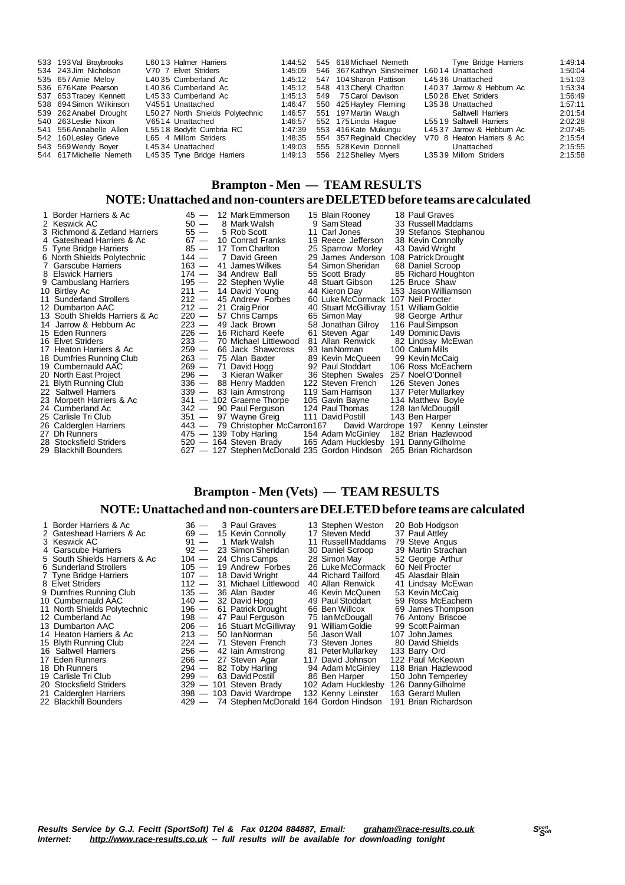| 533 193 Val Braybrooks  | L6013 Halmer Harriers           |         | 1:44:52   545   618   Michael Nemeth   | Tyne Bridge Harriers       | 1:49:14 |
|-------------------------|---------------------------------|---------|----------------------------------------|----------------------------|---------|
| 534 243 Jim Nicholson   | V70 7 Elvet Striders            | 1:45:09 | 546 367 Kathryn Sinsheimer             | L6014 Unattached           | 1:50:04 |
| 535 657 Amie Meloy      | L4035 Cumberland Ac             |         | 1:45:12 547 104 Sharon Pattison        | L4536 Unattached           | 1:51:03 |
| 536 676 Kate Pearson    | L4036 Cumberland Ac             | 1:45:12 | 548 413 Cheryl Charlton                | L4037 Jarrow & Hebburn Ac  | 1:53:34 |
| 537 653 Tracey Kennett  | L4533 Cumberland Ac             |         | 1:45:13  549  75 Carol Davison         | L5028 Elvet Striders       | 1:56:49 |
| 538 694 Simon Wilkinson | V4551 Unattached                | 1:46:47 | 550 425 Hayley Fleming                 | L3538 Unattached           | 1:57:11 |
| 539 262 Anabel Drought  | L5027 North Shields Polytechnic | 1:46:57 | 551 197 Martin Waugh                   | Saltwell Harriers          | 2:01:54 |
| 540 263 Leslie Nixon    | V6514 Unattached                | 1:46:57 | 552 175 Linda Haque                    | L5519 Saltwell Harriers    | 2:02:28 |
| 541 556 Annabelle Allen | L5518 Bodyfit Cumbria RC        | 1:47:39 | 553 416 Kate Mukungu                   | L4537 Jarrow & Hebburn Ac  | 2:07:45 |
| 542 160 Lesley Grieve   | L65 4 Millom Striders           | 1:48:35 | 554 357 Reginald Checkley              | V70 8 Heaton Harriers & Ac | 2:15:54 |
| 543 569 Wendy Boyer     | L4534 Unattached                | 1:49:03 | 555 528 Kevin Donnell                  | Unattached                 | 2:15:55 |
| 544 617 Michelle Nemeth | L4535 Tyne Bridge Harriers      |         | 1:49:13    556    212    Shelley Myers | L3539 Millom Striders      | 2:15:58 |
|                         |                                 |         |                                        |                            |         |

### **Brampton - Men — TEAM RESULTS NOTE:Unattached and non-counters are DELETEDbefore teams are calculated**

| 1 Border Harriers & Ac<br>2 Keswick AC<br>3 Richmond & Zetland Harriers<br>4 Gateshead Harriers & Ac<br>5 Tyne Bridge Harriers<br>6 North Shields Polytechnic<br><b>Garscube Harriers</b><br>8 Elswick Harriers<br>9 Cambuslang Harriers<br>10 Birtley Ac<br>11 Sunderland Strollers<br>12 Dumbarton AAC<br>13 South Shields Harriers & Ac<br>14 Jarrow & Hebburn Ac<br>15 Eden Runners<br>16 Elvet Striders<br>17 Heaton Harriers & Ac<br>18 Dumfries Running Club<br>19 Cumbernauld AAC<br>20 North East Project<br>21 Blyth Running Club<br>22 Saltwell Harriers<br>23 Morpeth Harriers & Ac<br>24 Cumberland Ac<br>25 Carlisle Tri Club<br>26 Calderglen Harriers | $50 -$<br>$55 -$<br>$85 -$<br>$144 -$<br>163 —<br>$174 -$<br>195 —<br>$220 -$<br>$223 -$<br>$226 -$<br>233 —<br>$259 -$<br>$263 -$<br>$269 -$<br>$296 -$<br>336 — | 45 — 12 Mark Emmerson<br>8 Mark Walsh<br>5 Rob Scott<br>67 - 10 Conrad Franks<br>17 Tom Charlton<br>7 David Green<br>41 James Wilkes<br>34 Andrew Ball<br>22 Stephen Wylie<br>$211 - 14$ David Young<br>$212 - 45$ Andrew Forbes<br>$212 - 21$ Craig Prior<br>57 Chris Camps<br>49 Jack Brown<br>16 Richard Keefe<br>70 Michael Littlewood<br>66 Jack Shawcross<br>75 Alan Baxter<br>71 David Hogg<br>3 Kieran Walker<br>88 Henry Madden<br>339 - 83 lain Armstrong<br>341 - 102 Graeme Thorpe<br>342 - 90 Paul Ferguson<br>351 — 97 Wayne Greig<br>443 — 79 Christopher McCarron167 | 15 Blain Rooney<br>9 Sam Stead<br>11 Carl Jones<br>19 Reece Jefferson<br>25 Sparrow Morley<br>29 James Anderson 108 Patrick Drought<br>54 Simon Sheridan<br>55 Scott Brady<br>48 Stuart Gibson<br>44 Kieron Day<br>60 Luke McCormack 107 Neil Procter<br>40 Stuart McGillivray 151 William Goldie<br>65 Simon May<br>58 Jonathan Gilroy 116 Paul Simpson<br>61 Steven Agar<br>81 Allan Renwick<br>93 Ian Norman<br>89 Kevin McQueen<br>92 Paul Stoddart<br>36 Stephen Swales 257 Noel O'Donnell<br>122 Steven French<br>119 Sam Harrison<br>105 Gavin Bayne<br>124 Paul Thomas<br>111 David Postill | 18 Paul Graves<br>33 Russell Maddams<br>39 Stefanos Stephanou<br>38 Kevin Connolly<br>43 David Wright<br>68 Daniel Scroop<br>85 Richard Houghton<br>125 Bruce Shaw<br>153 Jason Williamson<br>98 George Arthur<br>149 Dominic Davis<br>82 Lindsay McEwan<br>100 Calum Mills<br>99 Kevin McCaig<br>106 Ross McEachern<br>126 Steven Jones<br>137 Peter Mullarkey<br>134 Matthew Boyle<br>128 Ian McDougall<br>143 Ben Harper<br>David Wardrope 197 Kenny Leinster |
|-----------------------------------------------------------------------------------------------------------------------------------------------------------------------------------------------------------------------------------------------------------------------------------------------------------------------------------------------------------------------------------------------------------------------------------------------------------------------------------------------------------------------------------------------------------------------------------------------------------------------------------------------------------------------|-------------------------------------------------------------------------------------------------------------------------------------------------------------------|--------------------------------------------------------------------------------------------------------------------------------------------------------------------------------------------------------------------------------------------------------------------------------------------------------------------------------------------------------------------------------------------------------------------------------------------------------------------------------------------------------------------------------------------------------------------------------------|-----------------------------------------------------------------------------------------------------------------------------------------------------------------------------------------------------------------------------------------------------------------------------------------------------------------------------------------------------------------------------------------------------------------------------------------------------------------------------------------------------------------------------------------------------------------------------------------------------|------------------------------------------------------------------------------------------------------------------------------------------------------------------------------------------------------------------------------------------------------------------------------------------------------------------------------------------------------------------------------------------------------------------------------------------------------------------|
| 27 Dh Runners                                                                                                                                                                                                                                                                                                                                                                                                                                                                                                                                                                                                                                                         |                                                                                                                                                                   | 475 — 139 Toby Harling                                                                                                                                                                                                                                                                                                                                                                                                                                                                                                                                                               | 154 Adam McGinley 182 Brian Hazlewood                                                                                                                                                                                                                                                                                                                                                                                                                                                                                                                                                               |                                                                                                                                                                                                                                                                                                                                                                                                                                                                  |
|                                                                                                                                                                                                                                                                                                                                                                                                                                                                                                                                                                                                                                                                       |                                                                                                                                                                   |                                                                                                                                                                                                                                                                                                                                                                                                                                                                                                                                                                                      |                                                                                                                                                                                                                                                                                                                                                                                                                                                                                                                                                                                                     |                                                                                                                                                                                                                                                                                                                                                                                                                                                                  |
| 28 Stocksfield Striders                                                                                                                                                                                                                                                                                                                                                                                                                                                                                                                                                                                                                                               |                                                                                                                                                                   | 520 — 164 Steven Brady                                                                                                                                                                                                                                                                                                                                                                                                                                                                                                                                                               | 165 Adam Hucklesby 191 Danny Gilholme                                                                                                                                                                                                                                                                                                                                                                                                                                                                                                                                                               |                                                                                                                                                                                                                                                                                                                                                                                                                                                                  |
| 29 Blackhill Bounders                                                                                                                                                                                                                                                                                                                                                                                                                                                                                                                                                                                                                                                 |                                                                                                                                                                   | 627 — 127 Stephen McDonald 235 Gordon Hindson 265 Brian Richardson                                                                                                                                                                                                                                                                                                                                                                                                                                                                                                                   |                                                                                                                                                                                                                                                                                                                                                                                                                                                                                                                                                                                                     |                                                                                                                                                                                                                                                                                                                                                                                                                                                                  |

## **Brampton - Men (Vets) — TEAM RESULTS**

### **NOTE:Unattached and non-counters are DELETEDbefore teams are calculated**

| 1 Border Harriers & Ac<br>2 Gateshead Harriers & Ac | $36 -$<br>$69 -$ | 3 Paul Graves<br>15 Kevin Connolly           | 13 Stephen Weston<br>17 Steven Medd | 20 Bob Hodgson<br>37 Paul Attley |
|-----------------------------------------------------|------------------|----------------------------------------------|-------------------------------------|----------------------------------|
| 3 Keswick AC                                        | $91 -$           | 1 Mark Walsh                                 | 11 Russell Maddams                  | 79 Steve Angus                   |
| 4 Garscube Harriers                                 | $92 -$           | 23 Simon Sheridan                            | 30 Daniel Scroop                    | 39 Martin Strachan               |
| 5 South Shields Harriers & Ac                       | $104 -$          | 24 Chris Camps                               | 28 Simon May                        | 52 George Arthur                 |
| 6 Sunderland Strollers                              | $105 -$          | 19 Andrew Forbes                             | 26 Luke McCormack                   | 60 Neil Procter                  |
| 7 Tyne Bridge Harriers                              |                  | $107 - 18$ David Wright                      | 44 Richard Tailford                 | 45 Alasdair Blain                |
| 8 Elvet Striders                                    | $112 -$          | 31 Michael Littlewood                        | 40 Allan Renwick                    | 41 Lindsay McEwan                |
| 9 Dumfries Running Club                             |                  | $135 - 36$ Alan Baxter                       | 46 Kevin McQueen                    | 53 Kevin McCaig                  |
| 10 Cumbernauld AAC                                  |                  | $140 - 32$ David Hogg                        | 49 Paul Stoddart                    | 59 Ross McEachern                |
| 11 North Shields Polytechnic                        |                  | 196 - 61 Patrick Drought                     | 66 Ben Willcox                      | 69 James Thompson                |
| 12 Cumberland Ac                                    |                  | 198 - 47 Paul Ferguson                       | 75 Ian McDougall                    | 76 Antony Briscoe                |
| 13 Dumbarton AAC                                    | $206 -$          | 16 Stuart McGillivray                        | 91 William Goldie                   | 99 Scott Pairman                 |
| 14 Heaton Harriers & Ac                             |                  | $213 - 50$ lan Norman                        | 56 Jason Wall                       | 107 John James                   |
| 15 Blyth Running Club                               |                  | $224 - 71$ Steven French                     | 73 Steven Jones                     | 80 David Shields                 |
| 16 Saltwell Harriers                                |                  | $256 - 42$ lain Armstrong                    | 81 Peter Mullarkey                  | 133 Barry Ord                    |
| 17 Eden Runners                                     |                  | 266 - 27 Steven Agar                         | 117 David Johnson                   | 122 Paul McKeown                 |
| 18 Dh Runners                                       | $294 -$          | 82 Toby Harling                              | 94 Adam McGinley                    | 118 Brian Hazlewood              |
| 19 Carlisle Tri Club                                |                  | 299 - 63 David Postill                       | 86 Ben Harper                       | 150 John Temperley               |
| 20 Stocksfield Striders                             |                  | $329 - 101$ Steven Brady                     | 102 Adam Hucklesby                  | 126 Danny Gilholme               |
| 21 Calderglen Harriers                              |                  | 398 - 103 David Wardrope                     | 132 Kenny Leinster                  | 163 Gerard Mullen                |
| 22 Blackhill Bounders                               |                  | 429 - 74 Stephen McDonald 164 Gordon Hindson |                                     | 191 Brian Richardson             |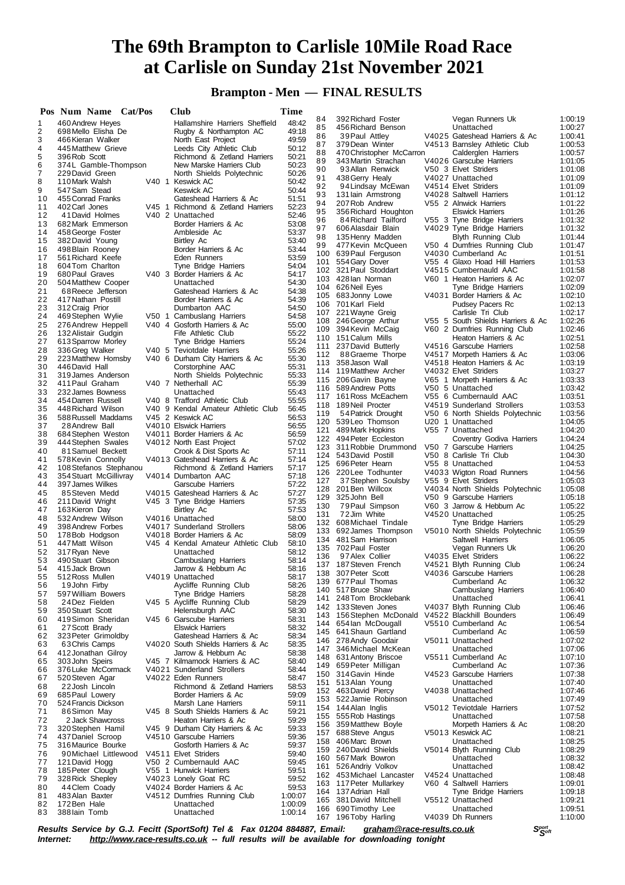**Brampton - Men — FINAL RESULTS**

|          | Pos Num Name Cat/Pos                     |                  | Club                                                 | Time           |            |                                                |                                                               |                    |
|----------|------------------------------------------|------------------|------------------------------------------------------|----------------|------------|------------------------------------------------|---------------------------------------------------------------|--------------------|
| 1        | 460 Andrew Heyes                         |                  | Hallamshire Harriers Sheffield                       | 48:42          | 84         | 392 Richard Foster                             | Vegan Runners Uk                                              | 1:00:19            |
| 2        | 698 Mello Elisha De                      |                  | Rugby & Northampton AC                               | 49:18          | 85         | 456 Richard Benson                             | Unattached                                                    | 1:00:27            |
| 3        | 466 Kieran Walker                        |                  | North East Project                                   | 49:59          | 86<br>87   | 39 Paul Attley<br>379 Dean Winter              | V4025 Gateshead Harriers & Ac<br>V4513 Barnsley Athletic Club | 1:00:41<br>1:00:53 |
| 4        | 445 Matthew Grieve                       |                  | Leeds City Athletic Club                             | 50:12          | 88         | 470 Christopher McCarron                       | Calderglen Harriers                                           | 1:00:57            |
| 5        | 396 Rob Scott                            |                  | Richmond & Zetland Harriers                          | 50:21          | 89         | 343 Martin Strachan                            | V4026 Garscube Harriers                                       | 1:01:05            |
| 6        | 374L Gamble-Thompson                     |                  | New Marske Harriers Club                             | 50:23          | 90         | 93 Allan Renwick                               | V50 3 Elvet Striders                                          | 1:01:08            |
| 7        | 229 David Green                          | V40 <sub>1</sub> | North Shields Polytechnic<br><b>Keswick AC</b>       | 50:26<br>50:42 | 91         | 438 Gerry Healy                                | V4027 Unattached                                              | 1:01:09            |
| 8<br>9   | 110 Mark Walsh<br>547 Sam Stead          |                  | Keswick AC                                           | 50:44          | 92         | 94 Lindsay McEwan                              | V4514 Elvet Striders                                          | 1:01:09            |
| 10       | 455 Conrad Franks                        |                  | Gateshead Harriers & Ac                              | 51:51          | 93         | 131 lain Armstrong                             | V4028 Saltwell Harriers                                       | 1:01:12            |
| 11       | 402 Carl Jones                           |                  | V45 1 Richmond & Zetland Harriers                    | 52:23          | 94         | 207 Rob Andrew                                 | V55 2 Alnwick Harriers                                        | 1:01:22            |
| 12       | 41 David Holmes                          |                  | V <sub>40</sub> 2 Unattached                         | 52:46          | 95         | 356 Richard Houghton                           | <b>Elswick Harriers</b>                                       | 1:01:26            |
| 13       | 682 Mark Emmerson                        |                  | Border Harriers & Ac                                 | 53:08          | 96         | 84 Richard Tailford                            | V55 3 Tyne Bridge Harriers                                    | 1:01:32            |
| 14       | 458 George Foster                        |                  | Ambleside Ac                                         | 53:37          | 97         | 606 Alasdair Blain                             | V4029 Tyne Bridge Harriers                                    | 1:01:32            |
| 15       | 382 David Young                          |                  | Birtley Ac                                           | 53:40          | 98<br>99   | 135 Henry Madden<br>477 Kevin McQueen          | <b>Blyth Running Club</b>                                     | 1:01:44            |
| 16       | 498 Blain Rooney                         |                  | Border Harriers & Ac                                 | 53:44          | 100        | 639 Paul Ferguson                              | V50 4 Dumfries Running Club<br>V4030 Cumberland Ac            | 1:01:47<br>1:01:51 |
| 17       | 561 Richard Keefe                        |                  | Eden Runners                                         | 53:59          | 101        | 554 Gary Dover                                 | V55 4 Glaxo Hoad Hill Harriers                                | 1:01:53            |
| 18       | 604 Tom Charlton                         |                  | Tyne Bridge Harriers                                 | 54:04          |            | 102 321 Paul Stoddart                          | V4515 Cumbernauld AAC                                         | 1:01:58            |
| 19       | 680 Paul Graves                          |                  | V40 3 Border Harriers & Ac                           | 54:17          |            | 103 428 lan Norman                             | V60 1 Heaton Harriers & Ac                                    | 1:02:07            |
| 20       | 504 Matthew Cooper                       |                  | Unattached                                           | 54:30          |            | 104 626 Neil Eyes                              | Tyne Bridge Harriers                                          | 1:02:09            |
| 21<br>22 | 68 Reece Jefferson<br>417 Nathan Postill |                  | Gateshead Harriers & Ac<br>Border Harriers & Ac      | 54:38<br>54:39 |            | 105 683 Jonny Lowe                             | V4031 Border Harriers & Ac                                    | 1:02:10            |
| 23       | 312 Craig Prior                          |                  | Dumbarton AAC                                        | 54:50          |            | 106 701 Karl Field                             | Pudsey Pacers Rc                                              | 1:02:13            |
| 24       | 469 Stephen Wylie                        | V50 1            | Cambuslang Harriers                                  | 54:58          |            | 107 221 Wayne Greig                            | Carlisle Tri Club                                             | 1:02:17            |
| 25       | 276 Andrew Heppell                       |                  | V40 4 Gosforth Harriers & Ac                         | 55:00          |            | 108 246 George Arthur                          | V55 5 South Shields Harriers & Ac                             | 1:02:26            |
| 26       | 132 Alistair Gudgin                      |                  | Fife Athletic Club                                   | 55:22          |            | 109 394 Kevin McCaig                           | V60 2 Dumfries Running Club                                   | 1:02:46            |
| 27       | 613 Sparrow Morley                       |                  | Tyne Bridge Harriers                                 | 55:24          |            | 110 151 Calum Mills                            | Heaton Harriers & Ac                                          | 1:02:51            |
| 28       | 336 Greg Walker                          |                  | V40 5 Teviotdale Harriers                            | 55:26          | 111        | 237 David Butterly                             | V4516 Garscube Harriers                                       | 1:02:58            |
| 29       | 223 Matthew Hornsby                      |                  | V40 6 Durham City Harriers & Ac                      | 55:30          | 112        | 88Graeme Thorpe<br>113 358 Jason Wall          | V4517 Morpeth Harriers & Ac                                   | 1:03:06            |
| 30       | 446 David Hall                           |                  | Corstorphine AAC                                     | 55:31          |            | 114 119 Matthew Archer                         | V4518 Heaton Harriers & Ac<br>V4032 Elvet Striders            | 1:03:19<br>1:03:27 |
| 31       | 319 James Anderson                       |                  | North Shields Polytechnic                            | 55:33          |            | 115 206 Gavin Bayne                            | V65 1 Morpeth Harriers & Ac                                   | 1:03:33            |
| 32       | 411 Paul Graham                          |                  | V40 7 Netherhall AC                                  | 55:39          |            | 116 589 Andrew Potts                           | V50 5 Unattached                                              | 1:03:42            |
| 33       | 232 James Bowness                        |                  | Unattached                                           | 55:43          |            | 117 161 Ross McEachern                         | V55 6 Cumbernauld AAC                                         | 1:03:51            |
| 34       | 454 Darren Russell                       |                  | V40 8 Trafford Athletic Club                         | 55:55          | 118        | 189 Neil Procter                               | V4519 Sunderland Strollers                                    | 1:03:53            |
| 35       | 448 Richard Wilson                       |                  | V40 9 Kendal Amateur Athletic Club                   | 56:45          | 119        | 54 Patrick Drought                             | V50 6 North Shields Polytechnic                               | 1:03:56            |
| 36       | 588 Russell Maddams                      |                  | V45 2 Keswick AC                                     | 56:53          |            | 120 539 Leo Thomson                            | U <sub>20</sub> 1 Unattached                                  | 1:04:05            |
| 37<br>38 | 28 Andrew Ball                           |                  | V4010 Elswick Harriers<br>V4011 Border Harriers & Ac | 56:55<br>56:59 | 121        | 489 Mark Hopkins                               | V55 7 Unattached                                              | 1:04:20            |
| 39       | 684 Stephen Weston<br>444 Stephen Swales |                  | V4012 North East Project                             | 57:02          |            | 122 494 Peter Eccleston                        | Coventry Godiva Harriers                                      | 1:04:24            |
| 40       | 81 Samuel Beckett                        |                  | Crook & Dist Sports Ac                               | 57:11          |            | 123 311 Robbie Drummond                        | V50 7 Garscube Harriers                                       | 1:04:25            |
| 41       | 578 Kevin Connolly                       |                  | V4013 Gateshead Harriers & Ac                        | 57:14          |            | 124 543 David Postill                          | V50 8 Carlisle Tri Club                                       | 1:04:30            |
| 42       | 108 Stefanos Stephanou                   |                  | Richmond & Zetland Harriers                          | 57:17          |            | 125 696 Peter Hearn                            | V55 8 Unattached                                              | 1:04:53            |
| 43       | 354 Stuart McGillivray                   |                  | V4014 Dumbarton AAC                                  | 57:18          | 126        | 220 Lee Todhunter                              | V4033 Wigton Road Runners                                     | 1:04:56            |
| 44       | 397 James Wilkes                         |                  | Garscube Harriers                                    | 57:22          | 127        | 37 Stephen Soulsby                             | V55 9 Elvet Striders                                          | 1:05:03            |
| 45       | 85 Steven Medd                           |                  | V4015 Gateshead Harriers & Ac                        | 57:27          | 128<br>129 | 201 Ben Willcox                                | V4034 North Shields Polytechnic<br>V50 9 Garscube Harriers    | 1:05:08            |
| 46       | 211 David Wright                         |                  | V45 3 Tyne Bridge Harriers                           | 57:35          | 130        | 325 John Bell<br>79 Paul Simpson               | V60 3 Jarrow & Hebburn Ac                                     | 1:05:18<br>1:05:22 |
| 47       | 163 Kieron Day                           |                  | Birtley Ac                                           | 57:53          | 131        | 72 Jim White                                   | V4520 Unattached                                              | 1:05:25            |
| 48       | 532 Andrew Wilson                        |                  | V4016 Unattached                                     | 58:00          |            | 132 608 Michael Tindale                        | Tyne Bridge Harriers                                          | 1:05:29            |
| 49       | 398 Andrew Forbes                        |                  | V4017 Sunderland Strollers                           | 58:06          |            | 133 692 James Thompson                         | V5010 North Shields Polytechnic                               | 1:05:59            |
| 50       | 178 Bob Hodgson                          |                  | V4018 Border Harriers & Ac                           | 58:09          |            | 134 481 Sam Harrison                           | Saltwell Harriers                                             | 1:06:05            |
| 51       | 447 Matt Wilson                          |                  | V45 4 Kendal Amateur Athletic Club                   | 58:10          |            | 135 702 Paul Foster                            | Vegan Runners Uk                                              | 1:06:20            |
| 52<br>53 | 317 Ryan Neve<br>490 Stuart Gibson       |                  | Unattached<br>Cambuslang Harriers                    | 58:12<br>58:14 | 136        | 97 Alex Collier                                | V4035 Elvet Striders                                          | 1:06:22            |
| 54       | 415 Jack Brown                           |                  | Jarrow & Hebburn Ac                                  | 58:16          |            | 137 187 Steven French                          | V4521 Blyth Running Club                                      | 1:06:24            |
| 55       | 512 Ross Mullen                          |                  | V4019 Unattached                                     | 58:17          |            | 138 307 Peter Scott                            | V4036 Garscube Harriers                                       | 1:06:28            |
| 56       | 19John Firby                             |                  | Aycliffe Running Club                                | 58:26          | 139        | 677 Paul Thomas                                | Cumberland Ac                                                 | 1:06:32            |
| 57       | 597 William Bowers                       |                  | Tyne Bridge Harriers                                 | 58:28          | 140        | 517 Bruce Shaw                                 | Cambuslang Harriers                                           | 1:06:40            |
| 58       | 24Dez Fielden                            |                  | V45 5 Aycliffe Running Club                          | 58:29          | 141        | 248Tom Brocklebank                             | Unattached                                                    | 1:06:41            |
| 59       | 350 Stuart Scott                         |                  | Helensburgh AAC                                      | 58:30          | 142        | 133 Steven Jones                               | V4037 Blyth Running Club<br>V4522 Blackhill Bounders          | 1:06:46            |
| 60       | 419 Simon Sheridan                       |                  | V45 6 Garscube Harriers                              | 58:31          | 143        | 156 Stephen McDonald<br>144 654 lan McDougall  | V5510 Cumberland Ac                                           | 1:06:49<br>1:06:54 |
| 61       | 27 Scott Brady                           |                  | <b>Elswick Harriers</b>                              | 58:32          |            | 145 641 Shaun Gartland                         | Cumberland Ac                                                 | 1:06:59            |
| 62       | 323 Peter Grimoldby                      |                  | Gateshead Harriers & Ac                              | 58:34          |            | 146 278 Andy Goodair                           | V5011 Unattached                                              | 1:07:02            |
| 63       | 63 Chris Camps                           |                  | V4020 South Shields Harriers & Ac                    | 58:35          | 147        | 346 Michael McKean                             | Unattached                                                    | 1:07:06            |
| 64       | 412 Jonathan Gilroy                      |                  | Jarrow & Hebburn Ac                                  | 58:38          | 148        | 631 Antony Briscoe                             | V5511 Cumberland Ac                                           | 1:07:10            |
| 65       | 303 John Speirs                          |                  | V45 7 Kilmarnock Harriers & AC                       | 58:40          |            | 149 659 Peter Milligan                         | Cumberland Ac                                                 | 1:07:36            |
| 66       | 376 Luke McCormack                       |                  | V4021 Sunderland Strollers                           | 58:44          |            | 150 314 Gavin Hinde                            | V4523 Garscube Harriers                                       | 1:07:38            |
| 67       | 520 Steven Agar                          |                  | V4022 Eden Runners                                   | 58:47          | 151        | 513 Alan Young                                 | Unattached                                                    | 1:07:40            |
| 68<br>69 | 22 Josh Lincoln<br>685 Paul Lowery       |                  | Richmond & Zetland Harriers<br>Border Harriers & Ac  | 58:53<br>59:09 |            | 152 463 David Piercy                           | V4038 Unattached                                              | 1:07:46            |
| 70       | 524 Francis Dickson                      |                  | <b>Marsh Lane Harriers</b>                           | 59:11          |            | 153 522 Jamie Robinson                         | Unattached                                                    | 1:07:49            |
| 71       | 86Simon May                              |                  | V45 8 South Shields Harriers & Ac                    | 59:21          |            | 154 144 Alan Inglis                            | V5012 Teviotdale Harriers                                     | 1:07:52            |
| 72       | 2 Jack Shawcross                         |                  | Heaton Harriers & Ac                                 | 59:29          |            | 155 555 Rob Hastings                           | Unattached                                                    | 1:07:58            |
| 73       | 320 Stephen Hamil                        |                  | V45 9 Durham City Harriers & Ac                      | 59:33          | 156        | 359 Matthew Boyle                              | Morpeth Harriers & Ac                                         | 1:08:20            |
| 74       | 437 Daniel Scroop                        |                  | V4510 Garscube Harriers                              | 59:36          | 157        | 688 Steve Angus                                | V5013 Keswick AC                                              | 1:08:21            |
| 75       | 316 Maurice Bourke                       |                  | Gosforth Harriers & Ac                               | 59:37          | 158        | 406 Marc Brown                                 | Unattached                                                    | 1:08:25            |
| 76       | 90Michael Littlewood                     |                  | V4511 Elvet Striders                                 | 59:40          | 159        | 240 David Shields                              | V5014 Blyth Running Club                                      | 1:08:29            |
| 77       | 121 David Hogg                           |                  | V50 2 Cumbernauld AAC                                | 59:45          |            | 160 567 Mark Bowron                            | Unattached                                                    | 1:08:32            |
| 78       | 185 Peter Clough                         |                  | V55 1 Hunwick Harriers                               | 59:51          |            | 161 526 Andriy Volkov                          | Unattached                                                    | 1:08:42            |
| 79       | 328 Rick Shepley                         |                  | V4023 Lonely Goat RC                                 | 59:52          |            | 162 453 Michael Lancaster                      | V4524 Unattached                                              | 1:08:48            |
| 80       | 44 Clem Coady                            |                  | V4024 Border Harriers & Ac                           | 59:53          |            | 163 117 Peter Mullarkey<br>164 137 Adrian Hall | V60 4 Saltwell Harriers<br>Tyne Bridge Harriers               | 1:09:01<br>1:09:18 |
| 81       | 483 Alan Baxter                          |                  | V4512 Dumfries Running Club                          | 1:00:07        |            | 165 381 David Mitchell                         | V5512 Unattached                                              | 1:09:21            |
| 82       | 172 Ben Hale                             |                  | Unattached                                           | 1:00:09        |            | 166 690 Timothy Lee                            | Unattached                                                    | 1:09:51            |
| 83       | 388 lain Tomb                            |                  | Unattached                                           | 1:00:14        |            | 167 196 Toby Harling                           | V4039 Dh Runners                                              | 1:10:00            |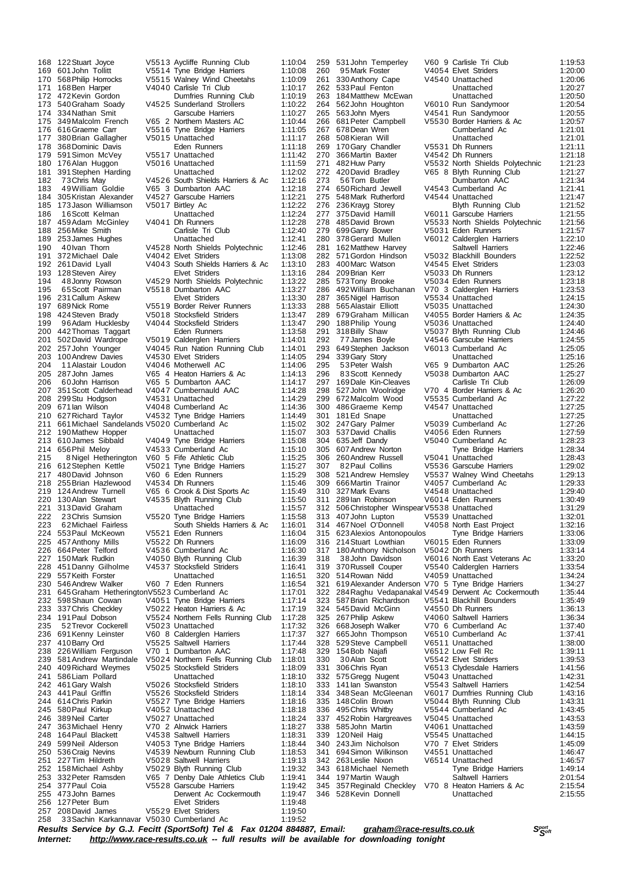176 Sumon McVey V5517 Unattached<br>176 Alan Huggon V5016 Unattached 183 49 William Goldie V65 3 Dumbarton AAC<br>183 5 Missian Alexander V4527 Garscube Harriers 457 Anthony Mills<br>664 Peter Telford<br>150 Mark Rudkin 245 Graham Hetherington V5523 Cumberland Ac<br>2398 Shaun Cowan 1940 51 Tyne Bridge Ha<br>337 Chris Checkley 1950 22 Heaton Harriers 208David James V5529 Elvet Striders 1:19:50 33 Sachin Karkannavar V5030 Cumberland Ac

 122Stuart Joyce V5513 Aycliffe Running Club 1:10:04 601John Tollitt V5514 Tyne Bridge Harriers 1:10:08 568Philip Horrocks V5515 Walney Wind Cheetahs 1:10:09 168Ben Harper V4040 Carlisle Tri Club 1:10:17 472Kevin Gordon Dumfries Running Club 1:10:19 173 540Graham Soady V4525 Sunderland Strollers 1:10:22 174 334Nathan Smit Garscube Harriers 1:10:27<br>175 349Malcolm French V65 2 Northern Masters AC 1:10:44 349Malcolm French V65 2 Northern Masters AC 1:10:44 616Graeme Carr V5516 Tyne Bridge Harriers 1:11:05 177 380 Brian Gallagher V5015 Unattached 1:11:17<br>178 368 Dominic Davis Eden Runners 1:11:18 368Dominic Davis Eden Runners 1:11:18 180 176Alan Huggon V5016 Unattached 1:11:59<br>181 391 Stephen Harding Unattached 1:12:02 391Stephen Harding Unattached 1:12:02 73Chris May V4526 South Shields Harriers & Ac 1:12:16 305Kristan Alexander V4527 Garscube Harriers 1:12:21 173Jason Williamson V5017 Birtley Ac 1:12:22 16Scott Kelman Unattached 1:12:24 459Adam McGinley V4041 Dh Runners 1:12:28 188 256Mike Smith Carlisle Tri Club 1:12:40 189 253 James Hughes Unattached 1:12:41<br>190 40 Ivan Thom V4528 North Shields Polytechnic 1:12:46 40Ivan Thorn V4528 North Shields Polytechnic 1:12:46 372Michael Dale V4042 Elvet Striders 1:13:08 V4043 South Shields Harriers & Ac 193 128 Steven Airey Elvet Striders 1:13:16<br>194 18 Johnny Rowson V4529 North Shields Polytechnic 1:13:22 48Jonny Rowson V4529 North Shields Polytechnic 1:13:22 65Scott Pairman V5518 Dumbarton AAC 1:13:27 231Callum Askew Elvet Striders 1:13:30 689Nick Rome V5519 Border Reiver Runners 1:13:33 V5018 Stocksfield Striders 96Adam Hucklesby V4044 Stocksfield Striders 1:13:47 442Thomas Taggart Eden Runners 1:13:58 201 502David Wardrope V5019 Calderglen Harriers 1:14:01<br>201 502David Wardrope V5019 Calderglen Harriers 1:14:01<br>202 257John Younger V4045 Run Nation Running Club 1:14:01 257John Younger V4045 Run Nation Running Club 1:14:01 203 100 Andrew Davies v4530 Elvet Striders 1:14:05<br>204 11 Alastair Loudon v40 46 Motherwell AC 1:14:06 11Alastair Loudon V4046 Motherwell AC 1:14:06 287 John James V65 4 Heaton Harriers & Ac<br>160 John Harrison V65 5 Dumbarton AAC 60John Harrison V65 5 Dumbarton AAC 1:14:17 351Scott Calderhead V4047 Cumbernauld AAC 1:14:28 299Stu Hodgson V4531 Unattached 1:14:29 209 671 Ian Wilson - 1200 1200 1200 1200 11:14:36<br>210 627 Richard Taylor - 14532 Tyne Bridge Harriers - 1:14:49 V4532 Tyne Bridge Harriers 1:14:49<br>V5020 Cumberland Ac 1:15:02 661Michael Sandelands V5020 Cumberland Ac 1:15:02 212 190 Mathew Hopper Unattached 1:15:07<br>213 610 James Sibbald V4049 Type Rridge Harriers 1:15:08 V4049 Tyne Bridge Harriers<br>V4533 Cumberland Ac: 656Phil Meloy V4533 Cumberland Ac 1:15:10 215 8 Nigel Hetherington V60 5 Fife Athletic Club 1:15:25 216 612 Stephen Kettle V5021 Tyne Bridge Harriers 1:15:27<br>217 480 David Johnson V60 6 Eden Runners 1:15:29 480David Johnson V60 6 Eden Runners 1:15:29 218 255 Brian Hazlewood V4534 Dh Runners 1:15:46<br>219 124 Andrew Turnell V65 6 Crook & Dist Sports Ac 1:15:49 200 124 Andrew Turnell V65 6 Crook & Dist Sports Ac<br>130 Alan Stewart V4535 Blyth Running Club 130Alan Stewart V4535 Blyth Running Club 1:15:50 221 313David Graham Unattached 1:15:57<br>222 23Chris Sumsion V5520 Tyne Bridge Harriers 1:15:58 222 23 Chris Sumsion V5520 Tyne Bridge Harriers 1:15:58<br>223 23 C2Michael Fairless South Shields Harriers & Ac 1:16:01 223 62Michael Fairless South Shields Harriers & Ac 1:16:01<br>224 553 Paul McKeown V5521 Eden Runners 1:16:04 553Paul McKeown V5521 Eden Runners 1:16:04 226 664 Peter Telford V4536 Cumberland Ac 1:16:30<br>227 150 Mark Rudkin V4050 Blyth Running Club 1:16:39 150Mark Rudkin V4050 Blyth Running Club 1:16:39 451Danny Gilholme V4537 Stocksfield Striders 1:16:41 557Keith Forster Unattached 1:16:51 546Andrew Walker V60 7 Eden Runners 1:16:54 232 598 Shaun Cowan V4051 Tyne Bridge Harriers 1:17:14 233 337Chris Checkley V5022 Heaton Harriers & Ac 1:17:19<br>234 191 Paul Dobson V5524 Northern Fells Running Club 1:17:28 191Paul Dobson V5524 Northern Fells Running Club 1:17:28 235 52Trevor Cockerell <br>
235 52Trevor Cockerell <br>
236 691 Kenny Leinster V60 8 Calderglen Harriers 1:17:37 691Kenny Leinster V60 8 Calderglen Harriers 1:17:37 410Barry Ord V5525 Saltwell Harriers 1:17:44 238 226 William Ferguson V70 1 Dumbarton AAC 1:17:48<br>239 581 Andrew Martindale V5024 Northern Fells Running Club 1:18:01 581Andrew Martindale V5024 Northern Fells Running Club 1:18:01 2002 - Hennem Polis Pram<br>
V5025 Stocksfield Striders<br>
Unattached 586Liam Pollard Unattached 1:18:10 461Gary Walsh V5026 Stocksfield Striders 1:18:10 441Paul Griffin V5526 Stocksfield Striders 1:18:14 614Chris Parkin V5527 Tyne Bridge Harriers 1:18:16 245 580Paul Kirkup V4052 Unattached 1:18:18 389Neil Carter V5027 Unattached 1:18:24 363Michael Henry V70 2 Alnwick Harriers 1:18:27 248 164 Paul Blackett V4538 Saltwell Harriers 1:18:31<br>248 164 Paul Blackett V4538 Saltwell Harriers 1:18:31<br>249 599 Neil Alderson V4053 Tyne Bridge Harriers 1:18:44 249 599 Neil Alderson V4053 Tyne Bridge Harriers 1:18:44<br>250 536 Craig Nevins V4539 Newburn Running Club 1:18:53<br>251 227 Tim Hildreth V5028 Saltwell Harriers 1:19:13 536Craig Nevins V4539 Newburn Running Club 1:18:53 227Tim Hildreth V5028 Saltwell Harriers 1:19:13 158Michael Ashby V5029 Blyth Running Club 1:19:32 332Peter Ramsden V65 7 Denby Dale Athletics Club 1:19:41 254 377 Paul Coia  $V$ 5528 Garscube Harriers 1:19:42<br>255 473 John Barnes Derwent Ac Cockermouth 1:19:47 255 473John Barnes 255 6173John Barnes 255 473John Barnes Derwent Ac Cockermouth 1:19:47<br>256 127 Peter Burn 256 127 Elvet Striders 1:19:48 256 127 Peter Burn Elvet Striders 1:19:48<br>257 208 David James V5529 Elvet Striders 1:19:50

200 366 Martin Baxter V4542 Dh Runners<br>127 Huw Parry V5532 North Shield 200 Marc Watson V4545 Elvet Striders<br>
209 Brian Kerr V5033 Dh Runners 635 Jeff Dandy V5040 Cumberland Ac<br>607 Andrew Norton Tyne Bridge Ha 284 Raghu Vedapanakal V4549 Derwent Ac Cockermouth 452 Robin Hargreaves<br>585 John Martin 528 Kevin Donnell

 531John Temperley V60 9 Carlisle Tri Club 1:19:53 95Mark Foster V4054 Elvet Striders 1:20:00 330Anthony Cape V4540 Unattached 1:20:06 533Paul Fenton Unattached 1:20:27 184 Matthew McEwan Unattached 1:20:50<br>120:50 1:20:54 1:20:54 1:20:54 V6010 Run Sandymoor 562John Houghton V6010 Run Sandymoor 1:20:54 563John Myers V4541 Run Sandymoor 1:20:55 681Peter Campbell V5530 Border Harriers & Ac 1:20:57 678Dean Wren Cumberland Ac 1:21:01 508Kieran Will Unattached 1:21:01 170Gary Chandler V5531 Dh Runners 1:21:11 482Huw Parry V5532 North Shields Polytechnic 1:21:23 420David Bradley V65 8 Blyth Running Club 1:21:27 273 56Tom Butler Dumbarton AAC 1:21:34 650Richard Jewell V4543 Cumberland Ac 1:21:41 275 548Mark Rutherford V4544 Unattached 1:21:47<br>276 236Krayg Storey Blyth Running Club 1:21:52 236Krayg Storey Blyth Running Club 1:21:52 375David Hamill V6011 Garscube Harriers 1:21:55 485David Brown V5533 North Shields Polytechnic 1:21:56 279 699Garry Bower 1:21:57<br>280 378Gerard Mullen 1:21:57<br>280 378Gerard Mullen 1:22:10 378Gerard Mullen V6012 Calderglen Harriers 1:22:10 162Matthew Harvey Saltwell Harriers 1:22:46 571Gordon Hindson V5032 Blackhill Bounders 1:22:52 209Brian Kerr V5033 Dh Runners 1:23:12 573Tony Brooke V5034 Eden Runners 1:23:18 492William Buchanan V70 3 Calderglen Harriers 1:23:53 365Nigel Harrison V5534 Unattached 1:24:15 288 565 Alastair Elliott V5035 Unattached 1:24:30<br>289 679 Graham Millican V4055 Border Harriers & Ac 1:24:35 V4055 Border Harriers & Ac 290 188Philip Young V5036 Unattached 1:24:40<br>291 318Billy Shaw V5037 Blyth Running Club 1:24:46<br>292 77James Boyle V4546 Garscube Harriers 1:24:55 318Billy Shaw V5037 Blyth Running Club 1:24:46 77James Boyle V4546 Garscube Harriers 1:24:55 649Stephen Jackson V6013 Cumberland Ac 1:25:05 294 339 Gary Story **Carl Contract Unattached 1:25:16**<br>295 53 Peter Walsh V65 9 Dumbarton AAC 1:25:26 53Peter Walsh V65 9 Dumbarton AAC 1:25:26 83Scott Kennedy V5038 Dumbarton AAC 1:25:27 297 169Dale Kin-Cleaves Carlisle Tri Club 1:26:09 527John Woolridge V70 4 Border Harriers & Ac 1:26:20 672Malcolm Wood V5535 Cumberland Ac 1:27:22 486Graeme Kemp V4547 Unattached 1:27:25 181Ed Snape Unattached 1:27:25 247Gary Palmer V5039 Cumberland Ac 1:27:26 537David Challis V4056 Eden Runners 1:27:59 607Andrew Norton Tyne Bridge Harriers 1:28:34 260Andrew Russell V5041 Unattached 1:28:43 307 82 Paul Collins V5536 Garscube Harriers 1:29:02<br>308 521 Andrew Hemsley V5537 Walney Wind Cheetahs 1:29:13 521Andrew Hemsley V5537 Walney Wind Cheetahs 1:29:13 309 666Martin Trainor V4057 Cumberland Ac 1:29:33 327Mark Evans V4548 Unattached 1:29:40 289Ian Robinson V6014 Eden Runners 1:30:49 506Christopher WinspearV5538 Unattached 1:31:29 407John Lupton V5539 Unattached 1:32:01 467Noel O'Donnell V4058 North East Project 1:32:16 623Alexios Antonopoulos Tyne Bridge Harriers 1:33:06 V6015 Eden Runners 317 180Anthony Nicholson V5042 Dh Runners 1:33:14<br>318 38John Davidson V6016 North East Veterans Ac 1:33:20 38John Davidson V6016 North East Veterans Ac 1:33:20 370Russell Couper V5540 Calderglen Harriers 1:33:54 320 514 Rowan Nidd V4059 Unattached 1:34:24<br>321 619 Alexander Anderson V70 5 Tyne Bridge Harriers 1:34:27 619Alexander Anderson V70 5 Tyne Bridge Harriers 1:34:27 587Brian Richardson V5541 Blackhill Bounders 1:35:49 545David McGinn V4550 Dh Runners 1:36:13 267Philip Askew V4060 Saltwell Harriers 1:36:34 668Joseph Walker V70 6 Cumberland Ac 1:37:40 665John Thompson V6510 Cumberland Ac 1:37:41 529Steve Campbell V6511 Unattached 1:38:00 154Bob Najafi V6512 Low Fell Rc 1:39:11 30Alan Scott V5542 Elvet Striders 1:39:53 3351 30513 Clydesdale Harriers<br>V5043 Unattached 332 575 Gregg Nugent V5043 Unattached 1:42:31<br>333 141 Ian Swanston V5543 Saltwell Harriers 1:42:54 141Ian Swanston V5543 Saltwell Harriers 1:42:54 348Sean McGleenan V6017 Dumfries Running Club 1:43:16 148Colin Brown V5044 Blyth Running Club 1:43:31 495Chris Whitby V5544 Cumberland Ac 1:43:45 585John Martin V4061 Unattached 1:43:59 120Neil Haig V5545 Unattached 1:44:15 243Jim Nicholson V70 7 Elvet Striders 1:45:09 694Simon Wilkinson V4551 Unattached 1:46:47 263Leslie Nixon V6514 Unattached 1:46:57 Tyne Bridge Harriers<br>Saltwell Harriers 197Martin Waugh Saltwell Harriers 2:01:54 357Reginald Checkley V70 8 Heaton Harriers & Ac 2:15:54

Results Service by G.J. Fecitt (SportSoft) Tel & Fax 01204 884887, Email: [graham@race-results.co.uk](mailto:graham@race-results.co.uk)<br>Internet: http://www.race-results.co.uk -- full results will be available for downloading topight *Internet: <http://www.race-results.co.uk> -- full results will be available for downloading tonight*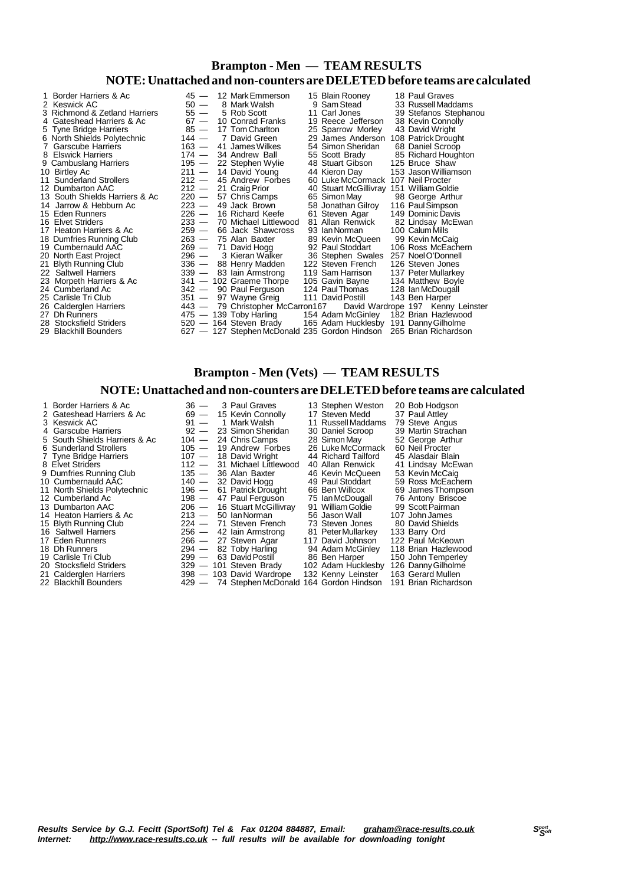### **Brampton - Men — TEAM RESULTS NOTE:Unattached and non-counters are DELETEDbefore teams are calculated**

| 1 Border Harriers & Ac<br>2 Keswick AC<br>3 Richmond & Zetland Harriers<br>4 Gateshead Harriers & Ac<br>5 Tyne Bridge Harriers<br>6 North Shields Polytechnic<br>7 Garscube Harriers<br>8 Elswick Harriers<br>9 Cambuslang Harriers<br>10 Birtley Ac<br>11 Sunderland Strollers<br>12 Dumbarton AAC<br>13 South Shields Harriers & Ac<br>14 Jarrow & Hebburn Ac<br>15 Eden Runners<br>16 Elvet Striders<br>17 Heaton Harriers & Ac<br>18 Dumfries Running Club<br>19 Cumbernauld AAC<br>20 North East Project<br>21 Blyth Running Club<br>22 Saltwell Harriers<br>23 Morpeth Harriers & Ac<br>24 Cumberland Ac<br>25 Carlisle Tri Club | $85 -$<br>$144 -$<br>$163 -$<br>$174 -$<br>$195 -$<br>$211 -$<br>$212 -$<br>$212 -$<br>220 —<br>$223 -$<br>226 —<br>233 —<br>$259 -$<br>$269 -$<br>296 —<br>336 —<br>$351 -$ | $50 -$<br>$55 -$<br>$67 -$ | 45 - 12 Mark Emmerson<br>8 Mark Walsh<br>5 Rob Scott<br>10 Conrad Franks<br>17 Tom Charlton<br>7 David Green<br>41 James Wilkes<br>34 Andrew Ball<br>22 Stephen Wylie<br>14 David Young<br>45 Andrew Forbes<br>21 Craig Prior<br>57 Chris Camps<br>49 Jack Brown<br>16 Richard Keefe<br>70 Michael Littlewood<br>66 Jack Shawcross<br>263 - 75 Alan Baxter<br>71 David Hogg<br>3 Kieran Walker<br>88 Henry Madden<br>339 - 83 lain Armstrong<br>341 - 102 Graeme Thorpe<br>342 - 90 Paul Ferguson<br>97 Wayne Greig | 15 Blain Rooney<br>9 Sam Stead<br>11 Carl Jones<br>19 Reece Jefferson<br>25 Sparrow Morley<br>29 James Anderson 108 Patrick Drought<br>54 Simon Sheridan<br>55 Scott Brady<br>48 Stuart Gibson<br>44 Kieron Day<br>60 Luke McCormack 107 Neil Procter<br>40 Stuart McGillivray 151 William Goldie<br>65 Simon May<br>58 Jonathan Gilroy<br>61 Steven Agar<br>81 Allan Renwick<br>93 Ian Norman<br>89 Kevin McQueen<br>92 Paul Stoddart<br>36 Stephen Swales 257 Noel O'Donnell<br>122 Steven French<br>119 Sam Harrison<br>105 Gavin Bayne<br>124 Paul Thomas<br>111 David Postill | 18 Paul Graves<br>33 Russell Maddams<br>39 Stefanos Stephanou<br>38 Kevin Connolly<br>43 David Wright<br>68 Daniel Scroop<br>85 Richard Houghton<br>125 Bruce Shaw<br>153 Jason Williamson<br>98 George Arthur<br>116 Paul Simpson<br>149 Dominic Davis<br>82 Lindsay McEwan<br>100 Calum Mills<br>99 Kevin McCaig<br>106 Ross McEachern<br>126 Steven Jones<br>137 Peter Mullarkey<br>134 Matthew Boyle<br>128 Ian McDougall<br>143 Ben Harper |
|----------------------------------------------------------------------------------------------------------------------------------------------------------------------------------------------------------------------------------------------------------------------------------------------------------------------------------------------------------------------------------------------------------------------------------------------------------------------------------------------------------------------------------------------------------------------------------------------------------------------------------------|------------------------------------------------------------------------------------------------------------------------------------------------------------------------------|----------------------------|---------------------------------------------------------------------------------------------------------------------------------------------------------------------------------------------------------------------------------------------------------------------------------------------------------------------------------------------------------------------------------------------------------------------------------------------------------------------------------------------------------------------|------------------------------------------------------------------------------------------------------------------------------------------------------------------------------------------------------------------------------------------------------------------------------------------------------------------------------------------------------------------------------------------------------------------------------------------------------------------------------------------------------------------------------------------------------------------------------------|-------------------------------------------------------------------------------------------------------------------------------------------------------------------------------------------------------------------------------------------------------------------------------------------------------------------------------------------------------------------------------------------------------------------------------------------------|
|                                                                                                                                                                                                                                                                                                                                                                                                                                                                                                                                                                                                                                        |                                                                                                                                                                              |                            | 443 - 79 Christopher McCarron167                                                                                                                                                                                                                                                                                                                                                                                                                                                                                    |                                                                                                                                                                                                                                                                                                                                                                                                                                                                                                                                                                                    |                                                                                                                                                                                                                                                                                                                                                                                                                                                 |
| 26 Calderglen Harriers                                                                                                                                                                                                                                                                                                                                                                                                                                                                                                                                                                                                                 |                                                                                                                                                                              |                            |                                                                                                                                                                                                                                                                                                                                                                                                                                                                                                                     |                                                                                                                                                                                                                                                                                                                                                                                                                                                                                                                                                                                    | David Wardrope 197 Kenny Leinster                                                                                                                                                                                                                                                                                                                                                                                                               |
| 27 Dh Runners                                                                                                                                                                                                                                                                                                                                                                                                                                                                                                                                                                                                                          |                                                                                                                                                                              |                            | 475 — 139 Toby Harling                                                                                                                                                                                                                                                                                                                                                                                                                                                                                              | 154 Adam McGinley 182 Brian Hazlewood                                                                                                                                                                                                                                                                                                                                                                                                                                                                                                                                              |                                                                                                                                                                                                                                                                                                                                                                                                                                                 |
| 28 Stocksfield Striders                                                                                                                                                                                                                                                                                                                                                                                                                                                                                                                                                                                                                |                                                                                                                                                                              |                            | 520 - 164 Steven Brady                                                                                                                                                                                                                                                                                                                                                                                                                                                                                              | 165 Adam Hucklesby 191 Danny Gilholme                                                                                                                                                                                                                                                                                                                                                                                                                                                                                                                                              |                                                                                                                                                                                                                                                                                                                                                                                                                                                 |
| 29 Blackhill Bounders                                                                                                                                                                                                                                                                                                                                                                                                                                                                                                                                                                                                                  |                                                                                                                                                                              |                            | 627 - 127 Stephen McDonald 235 Gordon Hindson                                                                                                                                                                                                                                                                                                                                                                                                                                                                       |                                                                                                                                                                                                                                                                                                                                                                                                                                                                                                                                                                                    | 265 Brian Richardson                                                                                                                                                                                                                                                                                                                                                                                                                            |

### **Brampton - Men (Vets) — TEAM RESULTS**

#### **NOTE:Unattached and non-counters are DELETEDbefore teams are calculated**

1 Border Harriers & Ac 36 — 3 Paul Graves 13 Stephen Weston 20 Bob Hodgson<br>1 Gateshead Harriers & Ac 69 — 15 Kevin Connolly 17 Steven Medd 37 Paul Attley<br>3 Keswick AC 91 — 1 Mark Walsh 11 Russell Maddams 79 Steve Angus 2 Gateshead Harriers & Ac 69 — 15 Kevin Connolly 17 Steven Medd 37 Paul Attley 3 Keswick AC 91 — 1 Mark Walsh 11 RussellMaddams 79 Steve Angus 4 Garscube Harriers 92 — 23 Simon Sheridan 30 Daniel Scroop 39 Martin Strachan<br>5 South Shields Harriers & Ac 104 — 24 Chris Camps 28 Simon May 52 George Arthur<br>6 Sunderland Strollers 105 — 19 Andrew Forbes 26 Luke McCormac 5 South Shields Harriers & Ac 104 — 24 Chris Camps 28 SimonMay 52 George Arthur 6 Sunderland Strollers 105 — 19 Andrew Forbes 26 Luke McCormack 60 Neil Procter 7 Tyne Bridge Harriers 107 - 18 David Wright 144 Richard Tailford 15 Alasdair Blain<br>8 Elvet Striders 112 - 31 Michael Littlewood 10 Allan Renwick 11 Lindsay McEwan<br>9 Dumfries Running Club 135 - 36 Alan Baxter 16 Kevin McQu  $\frac{112}{135}$  — 31 Michael Littlewood  $\frac{135}{135}$  — 36 Alan Baxter 9 Dumfries Running Club 135 - 36 Alan Baxter 46 Kevin McQueen 53 Kevin McCaig<br>10 Cumbernauld AAC 140 - 32 David Hogg 49 Paul Stoddart 59 Ross McEachern 11 North Shields Polytechnic 110 — 32 David Hogg 196 - 49 Paul Stoddart 59 Ross McEachern<br>11 North Shields Polytechnic 196 — 61 Patrick Drought 66 Ben Willcox 69 James Thompson<br>12 Cumberland Ac 198 — 47 Paul Ferguson 75 Ia 12 Cumberland Ac 198 — 47 Paul Ferguson 12 Cumberland 126 Antony Briscoe<br>1206 — 16 Stuart McGillivray 91 William Goldie 199 Scott Pairman 13 Dumbarton AAC 206 — 16 Stuart McGillivray 91 William Goldie 99 Scott Pairman<br>14 Heaton Harriers & Ac 213 — 50 Ian Norman 56 Jason Wall 107 John James<br>15 Blyth Running Club 224 — 71 Steven French 73 Steven Jones 80 David 14 Heaton Harriers & Ac 213 — 50 Ian Norman 56 Jason Wall<br>15 Rivth Running Club 224 — 71 Steven French 73 Steven Jones 15 Blyth Running Club 224 — 71 Steven French 73 Steven Jones<br>16 Saltwell Harriers 256 — 42 Iain Armstrong 81 Peter Mullarkey 16 Saltwell Harriers 256 - 42 Iain Armstrong 81 Peter Mullarkey 17 Eden Runners 266 - 27 Steven Agar 2117 David Johnson<br>18 Dh Runners 294 - 82 Toby Harling 24 Adam McGinley 16 Saltwell Harriers 266 — 27 Steven Process 266 Mullarkey 133 Barry Ord<br>17 Eden Runners 266 — 27 Steven Agar 117 David Johnson 122 Paul McKeown<br>18 Dh Runners 294 — 82 Toby Harling 94 Adam McGinley 118 Brian Hazlewood 18 Dh Runners 294 — 82 Toby Harling 94 Adam McGinley 118 Brian Hazlewood<br>19 Carlisle Tri Club 299 — 63 David Postill 86 Ben Harper 150 John Temperley 19 Carlisle Tri Club 209 — 63 David Postill 206 Ben Harper 150 John Temperley<br>20 Stocksfield Striders 20 - 101 Steven Brady 20 Adam Hucklesby 126 Danny Gilholme 20 Stocksfield Striders 329 — 101 Steven Brady 102 Adam Hucklesby 126 DannyGilholme 21 Calderglen Harriers 398 — 103 David Wardrope 132 Kenny Leinster 163 Gerard Mullen 21 Calderglen Harriers 398 — 103 David Wardrope 132 Kenny Leinster 163 Gerard Mullen<br>22 Blackhill Bounders 429 — 74 Stephen McDonald 164 Gordon Hindson 191 Brian Richardson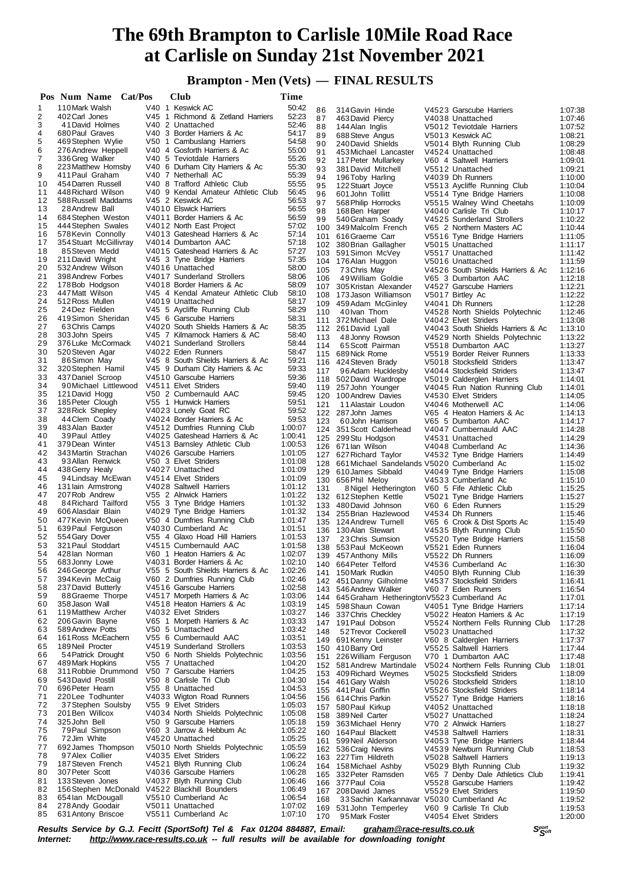**Brampton - Men (Vets) — FINAL RESULTS**

|          | Pos Num Name                                                      | Cat/Pos | <b>Club</b>                                              | Time               |     |                                                     |                                                          |                    |
|----------|-------------------------------------------------------------------|---------|----------------------------------------------------------|--------------------|-----|-----------------------------------------------------|----------------------------------------------------------|--------------------|
| 1        | 110 Mark Walsh                                                    |         | V40 1 Keswick AC                                         | 50:42              | 86  | 314 Gavin Hinde                                     | V4523 Garscube Harriers                                  | 1:07:38            |
| 2        | 402 Carl Jones                                                    |         | V45 1 Richmond & Zetland Harriers                        | 52:23              | 87  | 463 David Piercy                                    | V4038 Unattached                                         | 1:07:46            |
| 3        | 41 David Holmes                                                   |         | V <sub>40</sub> 2 Unattached                             | 52:46              | 88  | 144 Alan Inglis                                     | V5012 Teviotdale Harriers                                | 1:07:52            |
| 4        | 680 Paul Graves                                                   |         | V40 3 Border Harriers & Ac                               | 54:17              | 89  | 688 Steve Angus                                     | V5013 Keswick AC                                         | 1:08:21            |
| 5        | 469 Stephen Wylie                                                 |         | V50 1 Cambuslang Harriers                                | 54:58              | 90  | 240 David Shields                                   | V5014 Blyth Running Club                                 | 1:08:29            |
| 6        | 276 Andrew Heppell                                                |         | V40 4 Gosforth Harriers & Ac                             | 55:00              | 91  | 453 Michael Lancaster                               | V4524 Unattached                                         | 1:08:48            |
| 7        | 336 Greg Walker                                                   |         | V40 5 Teviotdale Harriers                                | 55:26              | 92  | 117 Peter Mullarkey                                 | V60 4 Saltwell Harriers                                  | 1:09:01            |
| 8        | 223 Matthew Hornsby                                               |         | V40 6 Durham City Harriers & Ac                          | 55:30              | 93  | 381 David Mitchell                                  | V5512 Unattached                                         | 1:09:21            |
| 9        | 411 Paul Graham                                                   |         | V40 7 Netherhall AC                                      | 55:39              | 94  | 196 Toby Harling                                    | V4039 Dh Runners                                         | 1:10:00            |
| 10       | 454 Darren Russell                                                |         | V40 8 Trafford Athletic Club                             | 55:55              | 95  | 122 Stuart Joyce                                    | V5513 Aycliffe Running Club                              | 1:10:04            |
| 11<br>12 | 448 Richard Wilson<br>588 Russell Maddams                         |         | V40 9 Kendal Amateur Athletic Club<br>V45 2 Keswick AC   | 56:45<br>56:53     | 96  | 601 John Tollitt                                    | V5514 Tyne Bridge Harriers                               | 1:10:08            |
| 13       | 28 Andrew Ball                                                    |         | V4010 Elswick Harriers                                   | 56:55              | 97  | 568 Philip Horrocks                                 | V5515 Walney Wind Cheetahs                               | 1:10:09            |
| 14       | 684 Stephen Weston                                                |         | V4011 Border Harriers & Ac                               | 56:59              | 98  | 168 Ben Harper                                      | V4040 Carlisle Tri Club                                  | 1:10:17            |
| 15       | 444 Stephen Swales                                                |         | V4012 North East Project                                 | 57:02              | 99  | 540 Graham Soady                                    | V4525 Sunderland Strollers                               | 1:10:22            |
| 16       | 578 Kevin Connolly                                                |         | V4013 Gateshead Harriers & Ac                            | 57:14              |     | 100 349 Malcolm French<br>101 616 Graeme Carr       | V65 2 Northern Masters AC                                | 1:10:44            |
| 17       | 354 Stuart McGillivray                                            |         | V4014 Dumbarton AAC                                      | 57:18              |     | 102 380 Brian Gallagher                             | V5516 Tyne Bridge Harriers<br>V5015 Unattached           | 1:11:05<br>1:11:17 |
| 18       | 85 Steven Medd                                                    |         | V4015 Gateshead Harriers & Ac                            | 57:27              |     | 103 591 Simon McVey                                 | V5517 Unattached                                         | 1:11:42            |
| 19       | 211 David Wright                                                  |         | V45 3 Tyne Bridge Harriers                               | 57:35              |     | 104 176 Alan Huggon                                 | V5016 Unattached                                         | 1:11:59            |
| 20       | 532 Andrew Wilson                                                 |         | V4016 Unattached                                         | 58:00              | 105 | 73 Chris May                                        | V4526 South Shields Harriers & Ac                        | 1:12:16            |
| 21       | 398 Andrew Forbes                                                 |         | V4017 Sunderland Strollers                               | 58:06              | 106 | 49 William Goldie                                   | V65 3 Dumbarton AAC                                      | 1:12:18            |
| 22       | 178 Bob Hodgson                                                   |         | V4018 Border Harriers & Ac                               | 58:09              |     | 107 305 Kristan Alexander                           | V4527 Garscube Harriers                                  | 1:12:21            |
| 23       | 447 Matt Wilson                                                   |         | V45 4 Kendal Amateur Athletic Club                       | 58:10              |     | 108 173 Jason Williamson                            | V5017 Birtley Ac                                         | 1:12:22            |
| 24       | 512 Ross Mullen                                                   |         | V4019 Unattached                                         | 58:17              |     | 109 459 Adam McGinley                               | V4041 Dh Runners                                         | 1:12:28            |
| 25       | 24 Dez Fielden                                                    |         | V45 5 Aycliffe Running Club                              | 58:29              |     | 110 40 Ivan Thorn                                   | V4528 North Shields Polytechnic                          | 1:12:46            |
| 26       | 419 Simon Sheridan                                                |         | V45 6 Garscube Harriers                                  | 58:31              |     | 111 372 Michael Dale                                | V4042 Elvet Striders                                     | 1:13:08            |
| 27       | 63 Chris Camps                                                    |         | V4020 South Shields Harriers & Ac                        | 58:35              |     | 112 261 David Lyall                                 | V4043 South Shields Harriers & Ac                        | 1:13:10            |
| 28       | 303 John Speirs                                                   |         | V45 7 Kilmarnock Harriers & AC                           | 58:40<br>58:44     | 113 | 48 Jonny Rowson                                     | V4529 North Shields Polytechnic                          | 1:13:22            |
| 29<br>30 | 376 Luke McCormack<br>520 Steven Agar                             |         | V4021 Sunderland Strollers<br>V4022 Eden Runners         | 58:47              | 114 | 65 Scott Pairman                                    | V5518 Dumbarton AAC                                      | 1:13:27            |
| 31       | 86Simon May                                                       |         | V45 8 South Shields Harriers & Ac                        | 59:21              |     | 115 689 Nick Rome                                   | V5519 Border Reiver Runners                              | 1:13:33            |
| 32       | 320 Stephen Hamil                                                 |         | V45 9 Durham City Harriers & Ac                          | 59:33              |     | 116 424 Steven Brady                                | V5018 Stocksfield Striders                               | 1:13:47            |
| 33       | 437 Daniel Scroop                                                 |         | V4510 Garscube Harriers                                  | 59:36              | 117 | 96Adam Hucklesby                                    | V4044 Stocksfield Striders                               | 1:13:47            |
| 34       | 90 Michael Littlewood                                             |         | V4511 Elvet Striders                                     | 59:40              |     | 118 502 David Wardrope                              | V5019 Calderglen Harriers                                | 1:14:01            |
| 35       | 121 David Hogg                                                    |         | V50 2 Cumbernauld AAC                                    | 59:45              |     | 119 257 John Younger<br>120 100 Andrew Davies       | V4045 Run Nation Running Club<br>V4530 Elvet Striders    | 1:14:01<br>1:14:05 |
| 36       | 185 Peter Clough                                                  |         | V55 1 Hunwick Harriers                                   | 59:51              | 121 | 11 Alastair Loudon                                  | V4046 Motherwell AC                                      | 1:14:06            |
| 37       | 328 Rick Shepley                                                  |         | V4023 Lonely Goat RC                                     | 59:52              |     | 122 287 John James                                  | V65 4 Heaton Harriers & Ac                               | 1:14:13            |
| 38       | 44 Clem Coady                                                     |         | V4024 Border Harriers & Ac                               | 59:53              | 123 | 60John Harrison                                     | V65 5 Dumbarton AAC                                      | 1:14:17            |
| 39       | 483 Alan Baxter                                                   |         | V4512 Dumfries Running Club                              | 1:00:07            |     | 124 351 Scott Calderhead                            | V4047 Cumbernauld AAC                                    | 1:14:28            |
| 40       | 39 Paul Attley                                                    |         | V4025 Gateshead Harriers & Ac                            | 1:00:41            |     | 125 299 Stu Hodgson                                 | V4531 Unattached                                         | 1:14:29            |
| 41       | 379 Dean Winter                                                   |         | V4513 Barnsley Athletic Club                             | 1:00:53            |     | 126 671 lan Wilson                                  | V4048 Cumberland Ac                                      | 1:14:36            |
| 42       | 343 Martin Strachan                                               |         | V4026 Garscube Harriers                                  | 1:01:05            |     | 127 627 Richard Taylor                              | V4532 Tyne Bridge Harriers                               | 1:14:49            |
| 43       | 93 Allan Renwick                                                  |         | V50 3 Elvet Striders                                     | 1:01:08            |     | 128 661 Michael Sandelands V5020 Cumberland Ac      |                                                          | 1:15:02            |
| 44       | 438 Gerry Healy                                                   |         | V4027 Unattached                                         | 1:01:09            |     | 129 610 James Sibbald                               | V4049 Tyne Bridge Harriers                               | 1:15:08            |
| 45       | 94 Lindsay McEwan                                                 |         | V4514 Elvet Striders                                     | 1:01:09            |     | 130 656 Phil Meloy                                  | V4533 Cumberland Ac                                      | 1:15:10            |
| 46<br>47 | 131 lain Armstrong                                                |         | V4028 Saltwell Harriers                                  | 1:01:12            | 131 | 8 Nigel Hetherington                                | V60 5 Fife Athletic Club                                 | 1:15:25            |
| 48       | 207 Rob Andrew<br>84 Richard Tailford                             |         | V55 2 Alnwick Harriers                                   | 1:01:22<br>1:01:32 |     | 132 612 Stephen Kettle                              | V5021 Tyne Bridge Harriers                               | 1:15:27            |
| 49       | 606 Alasdair Blain                                                |         | V55 3 Tyne Bridge Harriers<br>V4029 Tyne Bridge Harriers | 1:01:32            |     | 133 480 David Johnson                               | V60 6 Eden Runners                                       | 1:15:29            |
| 50       | 477 Kevin McQueen                                                 |         | V50 4 Dumfries Running Club                              | 1:01:47            |     | 134 255 Brian Hazlewood                             | V4534 Dh Runners                                         | 1:15:46            |
| 51       | 639 Paul Ferguson                                                 |         | V4030 Cumberland Ac                                      | 1:01:51            |     | 135 124 Andrew Turnell                              | V65 6 Crook & Dist Sports Ac                             | 1:15:49            |
| 52       | 554 Gary Dover                                                    |         | V55 4 Glaxo Hoad Hill Harriers                           | 1:01:53            | 137 | 136 130 Alan Stewart<br>23 Chris Sumsion            | V4535 Blyth Running Club<br>V5520 Tyne Bridge Harriers   | 1:15:50<br>1:15:58 |
| 53       | 321 Paul Stoddart                                                 |         | V4515 Cumbernauld AAC                                    | 1:01:58            |     | 138 553 Paul McKeown                                | V5521 Eden Runners                                       | 1:16:04            |
| 54       | 428 lan Norman                                                    |         | V60 1 Heaton Harriers & Ac                               | 1:02:07            |     | 139 457 Anthony Mills                               | V5522 Dh Runners                                         | 1:16:09            |
| 55       | 683 Jonny Lowe                                                    |         | V4031 Border Harriers & Ac                               | 1:02:10            |     | 140 664 Peter Telford                               | V4536 Cumberland Ac                                      | 1:16:30            |
| 56       | 246 George Arthur                                                 |         | V55 5 South Shields Harriers & Ac                        | 1:02:26            |     | 141 150 Mark Rudkin                                 | V4050 Blyth Running Club                                 | 1:16:39            |
| 57       | 394 Kevin McCaig                                                  |         | V60 2 Dumfries Running Club                              | 1:02:46            |     | 142 451 Danny Gilholme                              | V4537 Stocksfield Striders                               | 1:16:41            |
| 58       | 237 David Butterly                                                |         | V4516 Garscube Harriers                                  | 1:02:58            |     | 143 546 Andrew Walker                               | V60 7 Eden Runners                                       | 1:16:54            |
| 59       | 88Graeme Thorpe                                                   |         | V4517 Morpeth Harriers & Ac                              | 1:03:06            |     | 144 645 Graham Hetherington V5523 Cumberland Ac     |                                                          | 1:17:01            |
| 60       | 358 Jason Wall                                                    |         | V4518 Heaton Harriers & Ac                               | 1:03:19            |     | 145 598 Shaun Cowan                                 | V4051 Tyne Bridge Harriers                               | 1:17:14            |
| 61       | 119 Matthew Archer                                                |         | V4032 Elvet Striders                                     | 1:03:27            |     | 146 337 Chris Checkley                              | V5022 Heaton Harriers & Ac                               | 1:17:19            |
| 62       | 206 Gavin Bayne                                                   |         | V65 1 Morpeth Harriers & Ac                              | 1:03:33            |     | 147 191 Paul Dobson                                 | V5524 Northern Fells Running Club                        | 1:17:28            |
| 63       | 589 Andrew Potts                                                  |         | V50 5 Unattached                                         | 1:03:42            | 148 | 52 Trevor Cockerell                                 | V5023 Unattached                                         | 1:17:32            |
| 64<br>65 | 161 Ross McEachern<br>189 Neil Procter                            |         | V55 6 Cumbernauld AAC<br>V4519 Sunderland Strollers      | 1:03:51<br>1:03:53 |     | 149 691 Kenny Leinster                              | V60 8 Calderglen Harriers                                | 1:17:37            |
| 66       | 54 Patrick Drought                                                |         | V50 6 North Shields Polytechnic                          | 1:03:56            |     | 150 410 Barry Ord                                   | V5525 Saltwell Harriers                                  | 1:17:44            |
| 67       | 489 Mark Hopkins                                                  |         | V55 7 Unattached                                         | 1:04:20            |     | 151 226 William Ferguson                            | V70 1 Dumbarton AAC                                      | 1:17:48            |
| 68       | 311 Robbie Drummond                                               |         | V50 7 Garscube Harriers                                  | 1:04:25            |     | 152 581 Andrew Martindale<br>153 409 Richard Weymes | V5024 Northern Fells Running Club                        | 1:18:01            |
| 69       | 543 David Postill                                                 |         | V50 8 Carlisle Tri Club                                  | 1:04:30            |     | 154 461 Gary Walsh                                  | V5025 Stocksfield Striders<br>V5026 Stocksfield Striders | 1:18:09<br>1:18:10 |
| 70       | 696 Peter Hearn                                                   |         | V55 8 Unattached                                         | 1:04:53            |     | 155 441 Paul Griffin                                | V5526 Stocksfield Striders                               | 1:18:14            |
| 71       | 220 Lee Todhunter                                                 |         | V4033 Wigton Road Runners                                | 1:04:56            |     | 156 614 Chris Parkin                                | V5527 Tyne Bridge Harriers                               | 1:18:16            |
| 72       | 37 Stephen Soulsby                                                |         | V55 9 Elvet Striders                                     | 1:05:03            |     | 157 580 Paul Kirkup                                 | V4052 Unattached                                         | 1:18:18            |
| 73       | 201 Ben Willcox                                                   |         | V4034 North Shields Polytechnic                          | 1:05:08            |     | 158 389 Neil Carter                                 | V5027 Unattached                                         | 1:18:24            |
| 74       | 325 John Bell                                                     |         | V50 9 Garscube Harriers                                  | 1:05:18            |     | 159 363 Michael Henry                               | V70 2 Alnwick Harriers                                   | 1:18:27            |
| 75       | 79 Paul Simpson                                                   |         | V60 3 Jarrow & Hebburn Ac                                | 1:05:22            |     | 160 164 Paul Blackett                               | V4538 Saltwell Harriers                                  | 1:18:31            |
| 76       | 72 Jim White                                                      |         | V4520 Unattached                                         | 1:05:25            |     | 161 599 Neil Alderson                               | V4053 Tyne Bridge Harriers                               | 1:18:44            |
| 77       | 692 James Thompson                                                |         | V5010 North Shields Polytechnic                          | 1:05:59            |     | 162 536 Craig Nevins                                | V4539 Newburn Running Club                               | 1:18:53            |
| 78       | 97 Alex Collier                                                   |         | V4035 Elvet Striders                                     | 1:06:22            |     | 163 227 Tim Hildreth                                | V5028 Saltwell Harriers                                  | 1:19:13            |
| 79       | 187 Steven French                                                 |         | V4521 Blyth Running Club                                 | 1:06:24            |     | 164 158 Michael Ashby                               | V5029 Blyth Running Club                                 | 1:19:32            |
| 80       | 307 Peter Scott                                                   |         | V4036 Garscube Harriers                                  | 1:06:28            |     | 165 332 Peter Ramsden                               | V65 7 Denby Dale Athletics Club                          | 1:19:41            |
| 81       | 133 Steven Jones<br>156 Stephen McDonald V4522 Blackhill Bounders |         | V4037 Blyth Running Club                                 | 1:06:46            |     | 166 377 Paul Coia                                   | V5528 Garscube Harriers                                  | 1:19:42            |
| 82<br>83 | 654 lan McDougall                                                 |         | V5510 Cumberland Ac                                      | 1:06:49<br>1:06:54 |     | 167 208 David James                                 | V5529 Elvet Striders                                     | 1:19:50            |
| 84       | 278 Andy Goodair                                                  |         | V5011 Unattached                                         | 1:07:02            | 168 | 33 Sachin Karkannavar V5030 Cumberland Ac           |                                                          | 1:19:52            |
| 85       | 631 Antony Briscoe                                                |         | V5511 Cumberland Ac                                      | 1:07:10            | 170 | 169 531 John Temperley<br>95 Mark Foster            | V60 9 Carlisle Tri Club<br>V4054 Elvet Striders          | 1:19:53<br>1:20:00 |
|          |                                                                   |         |                                                          |                    |     |                                                     |                                                          |                    |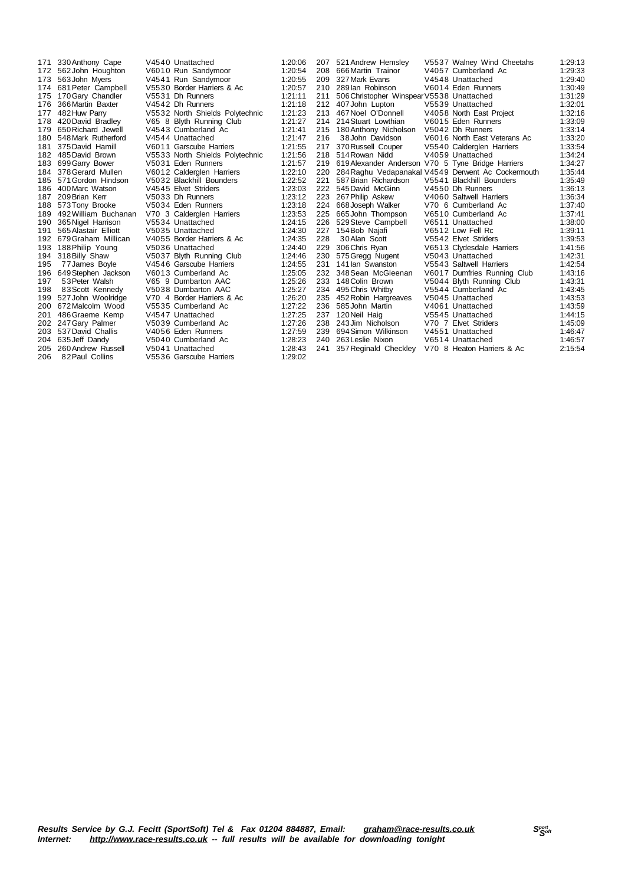| 171 | 330 Anthony Cape     | V4540 Unattached                | 1:20:06 | 207 | 521 Andrew Hemsley                                | V5537 Walney Wind Cheetahs                         | 1:29:13 |
|-----|----------------------|---------------------------------|---------|-----|---------------------------------------------------|----------------------------------------------------|---------|
| 172 | 562 John Houghton    | V6010 Run Sandymoor             | 1:20:54 | 208 | 666 Martin Trainor                                | V4057 Cumberland Ac                                | 1:29:33 |
| 173 | 563 John Myers       | V4541 Run Sandymoor             | 1:20:55 | 209 | 327 Mark Evans                                    | V4548 Unattached                                   | 1:29:40 |
| 174 | 681 Peter Campbell   | V5530 Border Harriers & Ac      | 1:20:57 | 210 | 289 lan Robinson                                  | V6014 Eden Runners                                 | 1:30:49 |
| 175 | 170 Gary Chandler    | V5531 Dh Runners                | 1:21:11 | 211 | 506 Christopher Winspear V5538 Unattached         |                                                    | 1:31:29 |
| 176 | 366 Martin Baxter    | V4542 Dh Runners                | 1:21:18 | 212 | 407 John Lupton                                   | V5539 Unattached                                   | 1:32:01 |
| 177 | 482 Huw Parry        | V5532 North Shields Polytechnic | 1:21:23 | 213 | 467 Noel O'Donnell                                | V4058 North East Project                           | 1:32:16 |
| 178 | 420 David Bradley    | V65 8 Blyth Running Club        | 1:21:27 |     | 214 214 Stuart Lowthian                           | V6015 Eden Runners                                 | 1:33:09 |
| 179 | 650 Richard Jewell   | V4543 Cumberland Ac             | 1:21:41 | 215 | 180 Anthony Nicholson                             | V5042 Dh Runners                                   | 1:33:14 |
| 180 | 548 Mark Rutherford  | V4544 Unattached                | 1:21:47 | 216 | 38 John Davidson                                  | V6016 North East Veterans Ac                       | 1:33:20 |
| 181 | 375 David Hamill     | V6011 Garscube Harriers         | 1:21:55 | 217 | 370 Russell Couper                                | V5540 Calderglen Harriers                          | 1:33:54 |
| 182 | 485 David Brown      | V5533 North Shields Polytechnic | 1:21:56 | 218 | 514 Rowan Nidd                                    | V4059 Unattached                                   | 1:34:24 |
| 183 | 699 Garry Bower      | V5031 Eden Runners              | 1:21:57 | 219 | 619 Alexander Anderson V70 5 Tyne Bridge Harriers |                                                    | 1:34:27 |
| 184 | 378 Gerard Mullen    | V6012 Calderglen Harriers       | 1:22:10 | 220 |                                                   | 284 Raghu Vedapanakal V4549 Derwent Ac Cockermouth | 1:35:44 |
| 185 | 571 Gordon Hindson   | V5032 Blackhill Bounders        | 1:22:52 | 221 | 587 Brian Richardson                              | V5541 Blackhill Bounders                           | 1:35:49 |
| 186 | 400 Marc Watson      | V4545 Elvet Striders            | 1:23:03 | 222 | 545 David McGinn                                  | V4550 Dh Runners                                   | 1:36:13 |
| 187 | 209 Brian Kerr       | V5033 Dh Runners                | 1:23:12 | 223 | 267 Philip Askew                                  | V4060 Saltwell Harriers                            | 1:36:34 |
| 188 | 573 Tony Brooke      | V5034 Eden Runners              | 1:23:18 | 224 | 668 Joseph Walker                                 | V70 6 Cumberland Ac                                | 1:37:40 |
| 189 | 492 William Buchanan | V70 3 Calderglen Harriers       | 1:23:53 | 225 | 665 John Thompson                                 | V6510 Cumberland Ac                                | 1:37:41 |
| 190 | 365 Nigel Harrison   | V5534 Unattached                | 1:24:15 | 226 | 529 Steve Campbell                                | V6511 Unattached                                   | 1:38:00 |
| 191 | 565 Alastair Elliott | V5035 Unattached                | 1:24:30 | 227 | 154 Bob Najafi                                    | V6512 Low Fell Rc                                  | 1:39:11 |
| 192 | 679 Graham Millican  | V4055 Border Harriers & Ac      | 1:24:35 | 228 | 30 Alan Scott                                     | V5542 Elvet Striders                               | 1:39:53 |
| 193 | 188 Philip Young     | V5036 Unattached                | 1:24:40 | 229 | 306 Chris Ryan                                    | V6513 Clydesdale Harriers                          | 1:41:56 |
| 194 | 318 Billy Shaw       | V5037 Blyth Running Club        | 1:24:46 | 230 | 575 Gregg Nugent                                  | V5043 Unattached                                   | 1:42:31 |
| 195 | 77 James Boyle       | V4546 Garscube Harriers         | 1:24:55 | 231 | 141 lan Swanston                                  | V5543 Saltwell Harriers                            | 1:42:54 |
| 196 | 649 Stephen Jackson  | V6013 Cumberland Ac             | 1:25:05 | 232 | 348 Sean McGleenan                                | V6017 Dumfries Running Club                        | 1:43:16 |
| 197 | 53 Peter Walsh       | V65 9 Dumbarton AAC             | 1:25:26 | 233 | 148 Colin Brown                                   | V5044 Blyth Running Club                           | 1:43:31 |
| 198 | 83 Scott Kennedy     | V5038 Dumbarton AAC             | 1:25:27 | 234 | 495 Chris Whitby                                  | V5544 Cumberland Ac                                | 1:43:45 |
| 199 | 527 John Woolridge   | V70 4 Border Harriers & Ac      | 1:26:20 | 235 | 452 Robin Hargreaves                              | V5045 Unattached                                   | 1:43:53 |
| 200 | 672 Malcolm Wood     | V5535 Cumberland Ac             | 1:27:22 | 236 | 585 John Martin                                   | V4061 Unattached                                   | 1:43:59 |
| 201 | 486 Graeme Kemp      | V4547 Unattached                | 1:27:25 | 237 | 120 Neil Haig                                     | V5545 Unattached                                   | 1:44:15 |
| 202 | 247 Gary Palmer      | V5039 Cumberland Ac             | 1:27:26 | 238 | 243 Jim Nicholson                                 | V70 7 Elvet Striders                               | 1:45:09 |
| 203 | 537 David Challis    | V4056 Eden Runners              | 1:27:59 | 239 | 694 Simon Wilkinson                               | V4551 Unattached                                   | 1:46:47 |
| 204 | 635 Jeff Dandy       | V5040 Cumberland Ac             | 1:28:23 | 240 | 263 Leslie Nixon                                  | V6514 Unattached                                   | 1:46:57 |
| 205 | 260 Andrew Russell   | V5041 Unattached                | 1:28:43 | 241 | 357 Reginald Checkley                             | V70 8 Heaton Harriers & Ac                         | 2:15:54 |
| 206 | 82 Paul Collins      | V5536 Garscube Harriers         | 1:29:02 |     |                                                   |                                                    |         |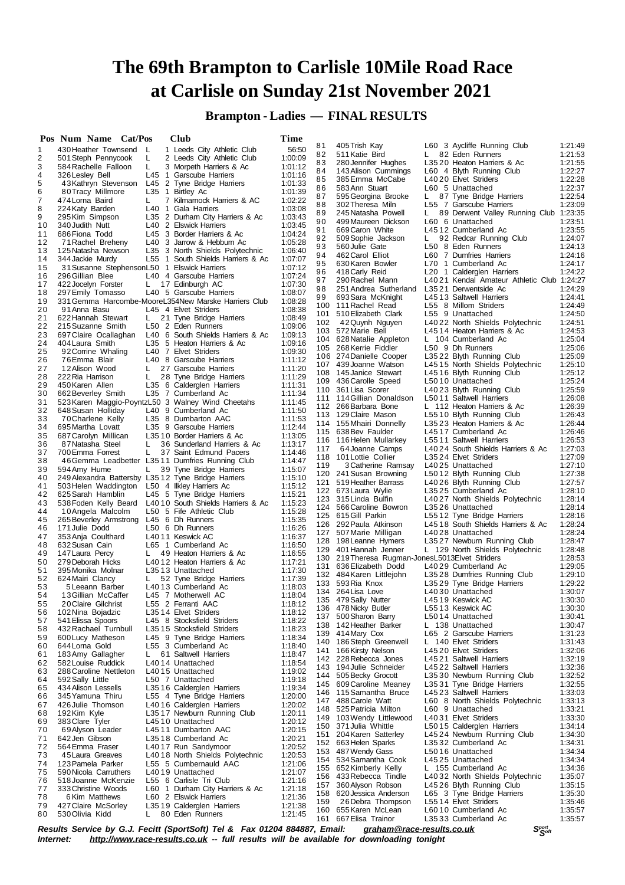**Brampton - Ladies — FINAL RESULTS**

|          | Pos Num Name Cat/Pos                       |                 |          | Club                                                                     | Time               |          |                                                    |    |                                                                   |                    |
|----------|--------------------------------------------|-----------------|----------|--------------------------------------------------------------------------|--------------------|----------|----------------------------------------------------|----|-------------------------------------------------------------------|--------------------|
| 1        | 430 Heather Townsend L                     |                 |          | 1 Leeds City Athletic Club                                               | 56:50              | 81       | 405 Trish Kay                                      |    | L60 3 Aycliffe Running Club                                       | 1:21:49            |
| 2        | 501 Steph Pennycook                        |                 | L        | 2 Leeds City Athletic Club                                               | 1:00:09            | 82<br>83 | 511 Katie Bird<br>280 Jennifer Hughes              |    | L 82 Eden Runners<br>L3520 Heaton Harriers & Ac                   | 1:21:53<br>1:21:55 |
| 3        | 584 Rachelle Falloon                       |                 | L.       | 3 Morpeth Harriers & Ac                                                  | 1:01:12            | 84       | 143 Alison Cummings                                |    | L60 4 Blyth Running Club                                          | 1:22:27            |
| 4<br>5   | 326 Lesley Bell<br>43Kathryn Stevenson     |                 |          | L45 1 Garscube Harriers<br>L45 2 Tyne Bridge Harriers                    | 1:01:16<br>1:01:33 | 85       | 385 Emma McCabe                                    |    | L4020 Elvet Striders                                              | 1:22:28            |
| 6        | 80Tracy Millmore                           |                 |          | L35 1 Birtley Ac                                                         | 1:01:39            | 86       | 583 Ann Stuart                                     |    | L60 5 Unattached                                                  | 1:22:37            |
| 7        | 474 Lorna Baird                            |                 | L.       | 7 Kilmarnock Harriers & AC                                               | 1:02:22            | 87       | 595 Georgina Brooke                                | L. | 87 Tyne Bridge Harriers                                           | 1:22:54            |
| 8        | 224 Katy Barden                            |                 |          | L40 1 Gala Harriers                                                      | 1:03:08            | 88<br>89 | 302 Theresa Miln<br>245 Natasha Powell             | L. | L55 7 Garscube Harriers<br>89 Derwent Valley Running Club 1:23:35 | 1:23:09            |
| 9        | 295 Kim Simpson                            |                 |          | L35 2 Durham City Harriers & Ac                                          | 1:03:43            | 90       | 499 Maureen Dickson                                |    | L60 6 Unattached                                                  | 1:23:51            |
| 10       | 340 Judith Nutt                            |                 |          | L40 2 Elswick Harriers                                                   | 1:03:45            | 91       | 669 Caron White                                    |    | L4512 Cumberland Ac                                               | 1:23:55            |
| 11<br>12 | 686 Fiona Todd<br>71 Rachel Breheny        |                 |          | L45 3 Border Harriers & Ac<br>L40 3 Jarrow & Hebburn Ac                  | 1:04:24<br>1:05:28 | 92       | 509 Sophie Jackson                                 | L. | 92 Redcar Running Club                                            | 1:24:07            |
| 13       | 125 Natasha Newson                         |                 |          | L35 3 North Shields Polytechnic                                          | 1:06:40            | 93       | 560 Julie Gate                                     |    | L50 8 Eden Runners                                                | 1:24:13            |
| 14       | 344 Jackie Murdy                           |                 |          | L55 1 South Shields Harriers & Ac                                        | 1:07:07            | 94       | 462 Carol Elliot                                   |    | L60 7 Dumfries Harriers                                           | 1:24:16<br>1:24:17 |
| 15       |                                            |                 |          | 31 Susanne StephensonL50 1 Elswick Harriers                              | 1:07:12            | 95<br>96 | 630 Karen Bowler<br>418 Carly Reid                 |    | L70 1 Cumberland Ac<br>L <sub>20</sub> 1 Calderglen Harriers      | 1:24:22            |
| 16       | 296 Gillian Blee                           |                 |          | L40 4 Garscube Harriers                                                  | 1:07:24            | 97       | 290 Rachel Mann                                    |    | L4021 Kendal Amateur Athletic Club 1:24:27                        |                    |
| 17<br>18 | 422 Jocelyn Forster<br>297 Emily Tomasso   |                 | L.       | 17 Edinburgh AC<br>L40 5 Garscube Harriers                               | 1:07:30<br>1:08:07 | 98       | 251 Andrea Sutherland                              |    | L3521 Derwentside Ac                                              | 1:24:29            |
| 19       |                                            |                 |          | 331 Gemma Harcombe-MooreL354New Marske Harriers Club                     | 1:08:28            | 99       | 693 Sara McKnight                                  |    | L4513 Saltwell Harriers                                           | 1:24:41            |
| 20       | 91 Anna Basu                               |                 |          | L45 4 Elvet Striders                                                     | 1:08:38            |          | 100 111 Rachel Read                                |    | L55 8 Millom Striders                                             | 1:24:49<br>1:24:50 |
| 21       | 622 Hannah Stewart                         |                 | L.       | 21 Tyne Bridge Harriers                                                  | 1:08:49            | 102      | 101 510 Elizabeth Clark<br>42 Quynh Nguyen         |    | L55 9 Unattached<br>L4022 North Shields Polytechnic               | 1:24:51            |
| 22       | 215 Suzanne Smith                          |                 |          | L50 2 Eden Runners                                                       | 1:09:06            |          | 103 572 Marie Bell                                 |    | L4514 Heaton Harriers & Ac                                        | 1:24:53            |
| 23<br>24 | 697 Claire Ocallaghan<br>404 Laura Smith   |                 |          | L40 6 South Shields Harriers & Ac<br>L35 5 Heaton Harriers & Ac          | 1:09:13<br>1:09:16 |          | 104 628 Natalie Appleton                           |    | L 104 Cumberland Ac                                               | 1:25:04            |
| 25       | 92 Corrine Whaling                         |                 |          | L40 7 Elvet Striders                                                     | 1:09:30            |          | 105 268 Kerrie Fiddler                             |    | L50 9 Dh Runners                                                  | 1:25:06            |
| 26       | 76 Emma Blair                              |                 |          | L40 8 Garscube Harriers                                                  | 1:11:12            |          | 106 274 Danielle Cooper                            |    | L3522 Blyth Running Club                                          | 1:25:09            |
| 27       | 12 Alison Wood                             |                 | L.       | 27 Garscube Harriers                                                     | 1:11:20            |          | 107 439 Joanne Watson<br>108 145 Janice Stewart    |    | L4515 North Shields Polytechnic<br>L4516 Blyth Running Club       | 1:25:10<br>1:25:12 |
| 28       | 222 Ria Harrison                           |                 | L.       | 28 Tyne Bridge Harriers                                                  | 1:11:29            |          | 109 436 Carolle Speed                              |    | L5010 Unattached                                                  | 1:25:24            |
| 29<br>30 | 450 Karen Allen                            |                 |          | L35 6 Calderglen Harriers                                                | 1:11:31<br>1:11:34 |          | 110 361 Lisa Scorer                                |    | L4023 Blyth Running Club                                          | 1:25:59            |
| 31       | 662 Beverley Smith                         |                 |          | L35 7 Cumberland Ac<br>523 Karen Maggio-PoyntzL50 3 Walney Wind Cheetahs | 1:11:45            |          | 111 114 Gillian Donaldson                          |    | L5011 Saltwell Harriers                                           | 1:26:08            |
| 32       | 648 Susan Holliday                         |                 |          | L40 9 Cumberland Ac                                                      | 1:11:50            |          | 112 266 Barbara Bone                               |    | L 112 Heaton Harriers & Ac                                        | 1:26:39            |
| 33       | 70 Charlene Kelly                          |                 |          | L35 8 Dumbarton AAC                                                      | 1:11:53            |          | 113 129 Claire Mason                               |    | L5510 Blyth Running Club                                          | 1:26:43<br>1:26:44 |
| 34       | 695 Martha Lovatt                          |                 |          | L35 9 Garscube Harriers                                                  | 1:12:44            |          | 114 155 Mhairi Donnelly<br>115 638 Bev Faulder     |    | L3523 Heaton Harriers & Ac<br>L4517 Cumberland Ac                 | 1:26:46            |
| 35       | 687 Carolyn Millican                       |                 |          | L35 10 Border Harriers & Ac                                              | 1:13:05            |          | 116 116 Helen Mullarkey                            |    | L5511 Saltwell Harriers                                           | 1:26:53            |
| 36<br>37 | 87 Natasha Steel<br>700 Emma Forrest       |                 | L.<br>L. | 36 Sunderland Harriers & Ac<br>37 Saint Edmund Pacers                    | 1:13:17<br>1:14:46 | 117      | 64 Joanne Camps                                    |    | L4024 South Shields Harriers & Ac                                 | 1:27:03            |
| 38       |                                            |                 |          | 46 Gemma Leadbetter L3511 Dumfries Running Club                          | 1:14:47            |          | 118 101 Lottie Collier                             |    | L3524 Elvet Striders                                              | 1:27:09            |
| 39       | 594 Amy Hume                               |                 | L,       | 39 Tyne Bridge Harriers                                                  | 1:15:07            | 119      | 3 Catherine Ramsay                                 |    | L4025 Unattached                                                  | 1:27:10<br>1:27:38 |
| 40       |                                            |                 |          | 249 Alexandra Battersby L3512 Tyne Bridge Harriers                       | 1:15:10            |          | 120 241 Susan Browning<br>121 519 Heather Barrass  |    | L5012 Blyth Running Club<br>L4026 Blyth Running Club              | 1:27:57            |
| 41       |                                            |                 |          | 503 Helen Waddington L50 4 Ilkley Harriers Ac                            | 1:15:12            |          | 122 673 Laura Wylie                                |    | L3525 Cumberland Ac                                               | 1:28:10            |
| 42<br>43 | 625 Sarah Hamblin<br>538 Foden Kelly Beard |                 |          | L45 5 Tyne Bridge Harriers<br>L4010 South Shields Harriers & Ac          | 1:15:21<br>1:15:23 |          | 123 315 Linda Bulfin                               |    | L4027 North Shields Polytechnic                                   | 1:28:14            |
| 44       | 10 Angela Malcolm                          |                 |          | L50 5 Fife Athletic Club                                                 | 1:15:28            |          | 124 566 Caroline Bowron                            |    | L3526 Unattached                                                  | 1:28:14            |
| 45       |                                            |                 |          | 265 Beverley Armstrong L45 6 Dh Runners                                  | 1:15:35            |          | 125 615 Gill Parkin                                |    | L5512 Tyne Bridge Harriers                                        | 1:28:16<br>1:28:24 |
| 46       | 171 Julie Dodd                             |                 |          | L50 6 Dh Runners                                                         | 1:16:26            |          | 126 292 Paula Atkinson<br>127 507 Marie Milligan   |    | L4518 South Shields Harriers & Ac<br>L4028 Unattached             | 1:28:24            |
| 47       | 353 Anja Coulthard                         |                 |          | L4011 Keswick AC                                                         | 1:16:37            |          | 128 198 Leanne Hymers                              |    | L3527 Newburn Running Club                                        | 1:28:47            |
| 48<br>49 | 632 Susan Cain<br>147 Laura Percy          |                 | L,       | L65 1 Cumberland Ac<br>49 Heaton Harriers & Ac                           | 1:16:50<br>1:16:55 |          | 129 401 Hannah Jenner                              |    | L 129 North Shields Polytechnic                                   | 1:28:48            |
| 50       | 279 Deborah Hicks                          |                 |          | L4012 Heaton Harriers & Ac                                               | 1:17:21            |          | 130 219 Theresa Rugman-Jones L5013 Elvet Striders  |    |                                                                   | 1:28:53            |
| 51       | 395 Monika Molnar                          |                 |          | L3513 Unattached                                                         | 1:17:30            |          | 131 636 Elizabeth Dodd<br>132 484 Karen Littlejohn |    | L4029 Cumberland Ac<br>L3528 Dumfries Running Club                | 1:29:05<br>1:29:10 |
| 52       | 624 Mairi Clancy                           |                 |          | L 52 Tyne Bridge Harriers                                                | 1:17:39            |          | 133 593 Ria Knox                                   |    | L3529 Tyne Bridge Harriers                                        | 1:29:22            |
| 53<br>54 |                                            | 5 Leeann Barber |          | L4013 Cumberland Ac                                                      | 1:18:03            |          | 134 264 Lisa Love                                  |    | L4030 Unattached                                                  | 1:30:07            |
| 55       | 13 Gillian McCaffer<br>20 Claire Gilchrist |                 |          | L45 7 Motherwell AC<br>L55 2 Ferranti AAC                                | 1:18:04<br>1:18:12 |          | 135 479 Sally Nutter                               |    | L4519 Keswick AC                                                  | 1:30:30            |
| 56       | 102 Nina Bojadzic                          |                 |          | L3514 Elvet Striders                                                     | 1:18:12            |          | 136 478 Nicky Butler                               |    | L5513 Keswick AC                                                  | 1:30:30            |
| 57       | 541 Elissa Spoors                          |                 |          | L45 8 Stocksfield Striders                                               | 1:18:22            |          | 137 500 Sharon Barry<br>138 142 Heather Barker     |    | L5014 Unattached<br>L 138 Unattached                              | 1:30:41<br>1:30:47 |
| 58       | 432 Rachael Turnbull                       |                 |          | L35 15 Stocksfield Striders                                              | 1:18:23            |          | 139 414 Mary Cox                                   |    | L65 2 Garscube Harriers                                           | 1:31:23            |
| 59       | 600 Lucy Matheson                          |                 |          | L45 9 Tyne Bridge Harriers                                               | 1:18:34            |          | 140 186 Steph Greenwell                            |    | L 140 Elvet Striders                                              | 1:31:43            |
| 60<br>61 | 644 Lorna Gold<br>183 Amy Gallagher        |                 | L.       | L55 3 Cumberland Ac<br>61 Saltwell Harriers                              | 1:18:40<br>1:18:47 |          | 141 166 Kirsty Nelson                              |    | L4520 Elvet Striders                                              | 1:32:06            |
| 62       | 582 Louise Ruddick                         |                 |          | L4014 Unattached                                                         | 1:18:54            |          | 142 228 Rebecca Jones                              |    | L4521 Saltwell Harriers                                           | 1:32:19            |
| 63       | 288 Caroline Nettleton                     |                 |          | L4015 Unattached                                                         | 1:19:02            |          | 143 194 Julie Schneider                            |    | L4522 Saltwell Harriers                                           | 1:32:36<br>1:32:52 |
| 64       | 592 Sally Little                           |                 |          | L50 7 Unattached                                                         | 1:19:18            |          | 144 505 Becky Grocott<br>145 609 Caroline Meaney   |    | L3530 Newburn Running Club<br>L3531 Tyne Bridge Harriers          | 1:32:55            |
| 65       | 434 Alison Lessells<br>345 Yamuna Thiru    |                 |          | L3516 Calderglen Harriers<br>L55 4 Tyne Bridge Harriers                  | 1:19:34            |          | 146 115 Samantha Bruce                             |    | L4523 Saltwell Harriers                                           | 1:33:03            |
| 66<br>67 | 426 Julie Thomson                          |                 |          | L4016 Calderglen Harriers                                                | 1:20:00<br>1:20:02 |          | 147 488 Carole Watt                                |    | L60 8 North Shields Polytechnic                                   | 1:33:13            |
| 68       | 192 Kim Kyle                               |                 |          | L3517 Newburn Running Club                                               | 1:20:11            |          | 148 525 Patricia Milton                            |    | L60 9 Unattached                                                  | 1:33:21            |
| 69       | 383 Clare Tyler                            |                 |          | L4510 Unattached                                                         | 1:20:12            |          | 149 103 Wendy Littlewood<br>150 371 Julia Whittle  |    | L4031 Elvet Striders<br>L5015 Calderglen Harriers                 | 1:33:30<br>1:34:14 |
| 70       | 69 Alyson Leader                           |                 |          | L4511 Dumbarton AAC                                                      | 1:20:15            |          | 151 204 Karen Satterley                            |    | L4524 Newburn Running Club                                        | 1:34:30            |
| 71       | 642 Jen Gibson                             |                 |          | L3518 Cumberland Ac                                                      | 1:20:21            |          | 152 663 Helen Sparks                               |    | L3532 Cumberland Ac                                               | 1:34:31            |
| 72<br>73 | 564 Emma Fraser<br>45 Laura Greaves        |                 |          | L4017 Run Sandymoor<br>L4018 North Shields Polytechnic                   | 1:20:52<br>1:20:53 |          | 153 487 Wendy Gass                                 |    | L5016 Unattached                                                  | 1:34:34            |
| 74       | 123 Pamela Parker                          |                 |          | L55 5 Cumbernauld AAC                                                    | 1:21:06            |          | 154 534 Samantha Cook                              |    | L4525 Unattached                                                  | 1:34:34            |
| 75       | 590 Nicola Carruthers                      |                 |          | L4019 Unattached                                                         | 1:21:07            |          | 155 652 Kimberly Kelly                             |    | L 155 Cumberland Ac                                               | 1:34:36            |
| 76       | 518 Joanne McKenzie                        |                 |          | L55 6 Carlisle Tri Club                                                  | 1:21:16            |          | 156 433 Rebecca Tindle<br>157 360 Alyson Robson    |    | L4032 North Shields Polytechnic<br>L4526 Blyth Running Club       | 1:35:07<br>1:35:15 |
| 77       | 333 Christine Woods                        |                 |          | L60 1 Durham City Harriers & Ac                                          | 1:21:18            |          | 158 620 Jessica Anderson                           |    | L65 3 Tyne Bridge Harriers                                        | 1:35:30            |
| 78<br>79 | 427 Claire McSorley                        | 6 Kim Matthews  |          | L60 2 Elswick Harriers<br>L3519 Calderglen Harriers                      | 1:21:36<br>1:21:38 | 159      | 26 Debra Thompson                                  |    | L5514 Elvet Striders                                              | 1:35:46            |
| 80       | 530 Olivia Kidd                            |                 | L.       | 80 Eden Runners                                                          | 1:21:45            |          | 160 655 Karen McLean                               |    | L6010 Cumberland Ac                                               | 1:35:57            |
|          |                                            |                 |          |                                                                          |                    |          | 161 667 Elisa Trainor                              |    | L3533 Cumberland Ac                                               | 1:35:57            |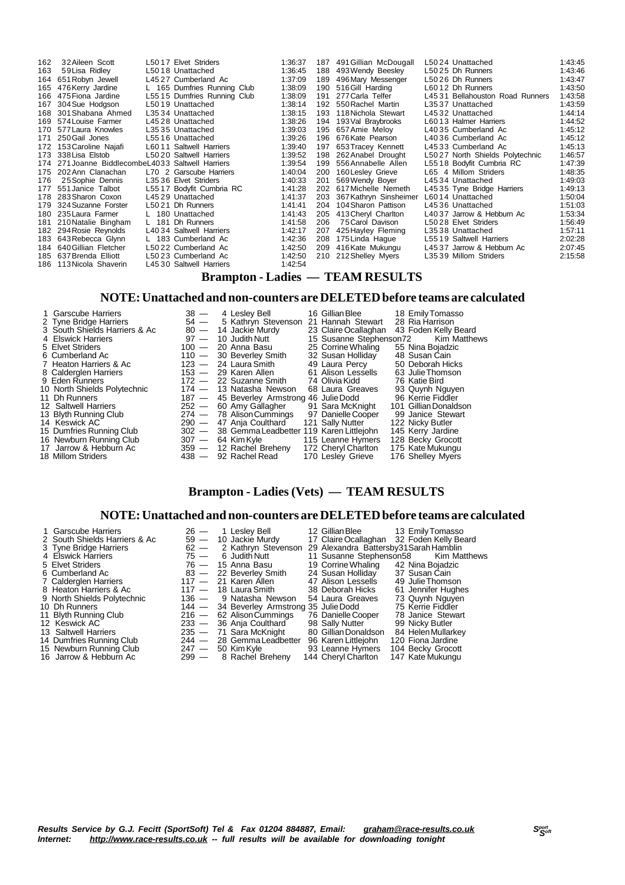| 162 | 32 Aileen Scott                                   | L5017 Elvet Striders        | 1:36:37 |     | 187 491 Gillian McDougall | L5024 Unattached                | 1:43:45 |
|-----|---------------------------------------------------|-----------------------------|---------|-----|---------------------------|---------------------------------|---------|
| 163 | 59 Lisa Ridley                                    | L5018 Unattached            | 1:36:45 |     | 188 493 Wendy Beesley     | L5025 Dh Runners                | 1:43:46 |
| 164 | 651 Robyn Jewell                                  | L4527 Cumberland Ac         | 1:37:09 | 189 | 496 Mary Messenger        | L5026 Dh Runners                | 1:43:47 |
| 165 | 476 Kerry Jardine                                 | L 165 Dumfries Running Club | 1:38:09 |     | 190 516 Gill Harding      | L6012 Dh Runners                | 1:43:50 |
|     | 166 475 Fiona Jardine                             | L5515 Dumfries Running Club | 1:38:09 | 191 | 277 Carla Telfer          | L4531 Bellahouston Road Runners | 1:43:58 |
| 167 | 304 Sue Hodgson                                   | L5019 Unattached            | 1:38:14 |     | 192 550 Rachel Martin     | L3537 Unattached                | 1:43:59 |
| 168 | 301 Shabana Ahmed                                 | L3534 Unattached            | 1:38:15 |     | 193 118 Nichola Stewart   | L4532 Unattached                | 1:44:14 |
| 169 | 574 Louise Farmer                                 | L4528 Unattached            | 1:38:26 |     | 194 193 Val Braybrooks    | L6013 Halmer Harriers           | 1:44:52 |
|     | 170 577 Laura Knowles                             | L3535 Unattached            | 1:39:03 |     | 195 657 Amie Meloy        | L4035 Cumberland Ac             | 1:45:12 |
| 171 | 250 Gail Jones                                    | L5516 Unattached            | 1:39:26 |     | 196 676 Kate Pearson      | L4036 Cumberland Ac             | 1:45:12 |
|     | 172 153 Caroline Najafi                           | L6011 Saltwell Harriers     | 1:39:40 |     | 197 653 Tracey Kennett    | L4533 Cumberland Ac             | 1:45:13 |
|     | 173 338 Lisa Elstob                               | L5020 Saltwell Harriers     | 1:39:52 | 198 | 262 Anabel Drought        | L5027 North Shields Polytechnic | 1:46:57 |
|     | 174 271 Joanne BiddlecombeL4033 Saltwell Harriers |                             | 1:39:54 |     | 199 556 Annabelle Allen   | L5518 Bodyfit Cumbria RC        | 1:47:39 |
|     | 175 202 Ann Clanachan                             | L70 2 Garscube Harriers     | 1:40:04 |     | 200 160 Lesley Grieve     | L65 4 Millom Striders           | 1:48:35 |
| 176 | 25 Sophie Dennis                                  | L3536 Elvet Striders        | 1:40:33 | 201 | 569 Wendy Boyer           | L4534 Unattached                | 1:49:03 |
| 177 | 551 Janice Talbot                                 | L5517 Bodyfit Cumbria RC    | 1:41:28 |     | 202 617 Michelle Nemeth   | L4535 Tyne Bridge Harriers      | 1:49:13 |
|     | 178 283 Sharon Coxon                              | L4529 Unattached            | 1:41:37 | 203 | 367 Kathryn Sinsheimer    | L6014 Unattached                | 1:50:04 |
|     | 179 324 Suzanne Forster                           | L5021 Dh Runners            | 1:41:41 |     | 204 104 Sharon Pattison   | L4536 Unattached                | 1:51:03 |
|     | 180 235 Laura Farmer                              | L 180 Unattached            | 1:41:43 |     | 205 413 Cheryl Charlton   | L4037 Jarrow & Hebburn Ac       | 1:53:34 |
| 181 | 210 Natalie Bingham                               | 181 Dh Runners              | 1:41:58 | 206 | 75 Carol Davison          | L5028 Elvet Striders            | 1:56:49 |
|     | 182 294 Rosie Reynolds                            | L4034 Saltwell Harriers     | 1:42:17 |     | 207 425 Hayley Fleming    | L3538 Unattached                | 1:57:11 |
|     | 183 643 Rebecca Glynn                             | L 183 Cumberland Ac         | 1:42:36 |     | 208 175 Linda Haque       | L5519 Saltwell Harriers         | 2:02:28 |
|     | 184 640 Gillian Fletcher                          | L5022 Cumberland Ac         | 1:42:50 |     | 209 416 Kate Mukungu      | L4537 Jarrow & Hebburn Ac       | 2:07:45 |
|     | 185 637 Brenda Elliott                            | L5023 Cumberland Ac         | 1:42:50 |     | 210 212 Shelley Myers     | L3539 Millom Striders           | 2:15:58 |
|     | 186 113 Nicola Shaverin                           | L4530 Saltwell Harriers     | 1:42:54 |     |                           |                                 |         |

# **Brampton - Ladies — TEAM RESULTS**

### **NOTE:Unattached and non-counters are DELETEDbefore teams are calculated**

| 1 Garscube Harriers<br>2 Tyne Bridge Harriers<br>3 South Shields Harriers & Ac | $38 -$ | 4 Lesley Bell<br>54 - 5 Kathryn Stevenson 21 Hannah Stewart<br>80 - 14 Jackie Murdy | 16 Gillian Blee         | 18 Emily Tomasso<br>28 Ria Harrison<br>23 Claire Ocallaghan 43 Foden Kelly Beard |
|--------------------------------------------------------------------------------|--------|-------------------------------------------------------------------------------------|-------------------------|----------------------------------------------------------------------------------|
| 4 Elswick Harriers                                                             | $97 -$ | 10 Judith Nutt                                                                      | 15 Susanne Stephenson72 | Kim Matthews                                                                     |
| 5 Elvet Striders                                                               |        | $100 - 20$ Anna Basu                                                                | 25 Corrine Whaling      | 55 Nina Bojadzic                                                                 |
| 6 Cumberland Ac                                                                |        | 110 - 30 Beverley Smith                                                             | 32 Susan Holliday       | 48 Susan Cain                                                                    |
| 7 Heaton Harriers & Ac                                                         |        | $123 - 24$ Laura Smith                                                              | 49 Laura Percy          | 50 Deborah Hicks                                                                 |
| 8 Calderglen Harriers                                                          |        | $153 - 29$ Karen Allen                                                              | 61 Alison Lessells      | 63 Julie Thomson                                                                 |
| 9 Eden Runners                                                                 |        | $172 - 22$ Suzanne Smith                                                            | 74 Olivia Kidd          | 76 Katie Bird                                                                    |
| 10 North Shields Polytechnic                                                   |        | 174 — 13 Natasha Newson                                                             | 68 Laura Greaves        | 93 Quynh Nguyen                                                                  |
| 11 Dh Runners                                                                  |        | 187 - 45 Beverley Armstrong 46 Julie Dodd                                           |                         | 96 Kerrie Fiddler                                                                |
| 12 Saltwell Harriers                                                           |        | 252 - 60 Amy Gallagher                                                              | 91 Sara McKnight        | 101 Gillian Donaldson                                                            |
| 13 Blyth Running Club                                                          |        | 274 - 78 Alison Cummings                                                            | 97 Danielle Cooper      | 99 Janice Stewart                                                                |
| 14 Keswick AC                                                                  |        | 290 - 47 Anja Coulthard                                                             | 121 Sally Nutter        | 122 Nicky Butler                                                                 |
| 15 Dumfries Running Club                                                       |        | 302 - 38 Gemma Leadbetter 119 Karen Littlejohn                                      |                         | 145 Kerry Jardine                                                                |
| 16 Newburn Running Club                                                        |        | $307 - 64$ Kim Kyle                                                                 | 115 Leanne Hymers       | 128 Becky Grocott                                                                |
| 17 Jarrow & Hebburn Ac                                                         |        | 359 - 12 Rachel Breheny                                                             | 172 Cheryl Charlton     | 175 Kate Mukungu                                                                 |
| 18 Millom Striders                                                             |        | $438 - 92$ Rachel Read                                                              | 170 Lesley Grieve       | 176 Shelley Myers                                                                |

## **Brampton - Ladies (Vets) — TEAM RESULTS**

#### **NOTE:Unattached and non-counters are DELETEDbefore teams are calculated**

| 1 Garscube Harriers<br>2 South Shields Harriers & Ac<br>3 Tyne Bridge Harriers | $26 -$<br>$62 -$ | 1 Lesley Bell<br>59 - 10 Jackie Murdy<br>2 Kathryn Stevenson | 12 Gillian Blee 13 Emily Tomasso<br>29 Alexandra Battersby31 Sarah Hamblin | 17 Claire Ocallaghan 32 Foden Kelly Beard |
|--------------------------------------------------------------------------------|------------------|--------------------------------------------------------------|----------------------------------------------------------------------------|-------------------------------------------|
| 4 Elswick Harriers                                                             | $75 -$           | 6 Judith Nutt                                                | 11 Susanne Stephenson58                                                    | Kim Matthews                              |
| 5 Elvet Striders                                                               |                  | $76 - 15$ Anna Basu                                          | 19 Corrine Whaling                                                         | 42 Nina Boiadzic                          |
| 6 Cumberland Ac                                                                |                  | 83 - 22 Beverley Smith                                       | 24 Susan Holliday                                                          | 37 Susan Cain                             |
| 7 Calderglen Harriers                                                          |                  | $117 - 21$ Karen Allen                                       | 47 Alison Lessells                                                         | 49 Julie Thomson                          |
| 8 Heaton Harriers & Ac                                                         |                  | $117 - 18$ Laura Smith                                       | 38 Deborah Hicks                                                           | 61 Jennifer Hughes                        |
| 9 North Shields Polytechnic                                                    | $136 -$          | 9 Natasha Newson                                             | 54 Laura Greaves                                                           | 73 Quynh Nguyen                           |
| 10 Dh Runners                                                                  |                  | 144 - 34 Beverley Armstrong 35 Julie Dodd                    |                                                                            | 75 Kerrie Fiddler                         |
| 11 Blyth Running Club                                                          |                  | 216 - 62 Alison Cummings                                     | 76 Danielle Cooper                                                         | 78 Janice Stewart                         |
| 12 Keswick AC                                                                  |                  | 233 - 36 Anja Coulthard                                      | 98 Sally Nutter                                                            | 99 Nicky Butler                           |
| 13 Saltwell Harriers                                                           |                  | 235 - 71 Sara McKnight                                       | 80 Gillian Donaldson                                                       | 84 Helen Mullarkey                        |
| 14 Dumfries Running Club                                                       |                  | 244 - 28 Gemma Leadbetter                                    | 96 Karen Littlejohn                                                        | 120 Fiona Jardine                         |
| 15 Newburn Running Club                                                        | $247 -$          | 50 Kim Kyle                                                  | 93 Leanne Hymers                                                           | 104 Becky Grocott                         |
| 16 Jarrow & Hebburn Ac                                                         | $299 -$          | 8 Rachel Breheny                                             | 144 Cheryl Charlton                                                        | 147 Kate Mukungu                          |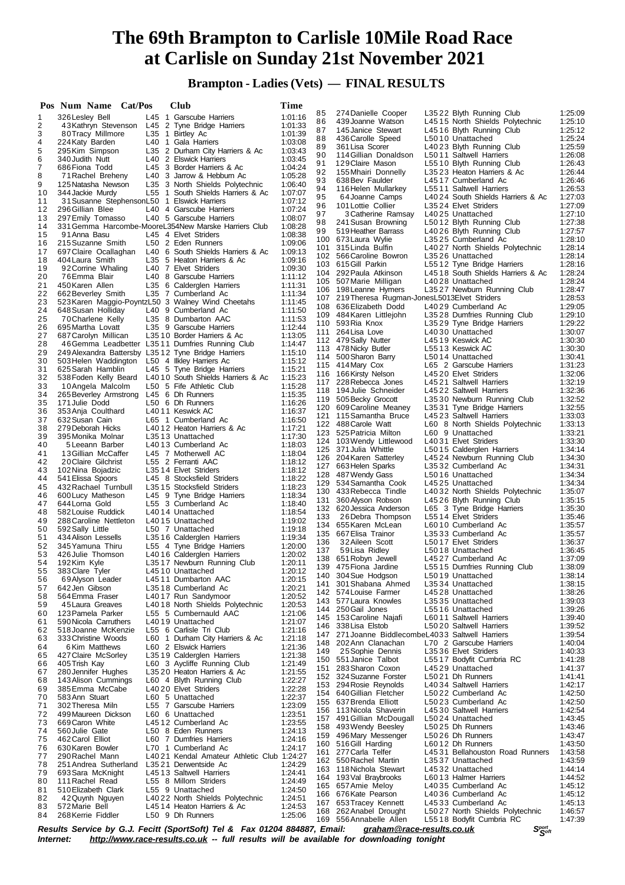**Brampton - Ladies (Vets) — FINAL RESULTS**

|    | Pos Num Name Cat/Pos |                        |       |                | <b>Club</b>                                          | Time    |     |                                                   |                                   |         |
|----|----------------------|------------------------|-------|----------------|------------------------------------------------------|---------|-----|---------------------------------------------------|-----------------------------------|---------|
| 1  | 326 Lesley Bell      |                        |       |                | L45 1 Garscube Harriers                              | 1:01:16 | 85  | 274 Danielle Cooper                               | L3522 Blyth Running Club          | 1:25:09 |
| 2  |                      |                        |       |                | 43Kathryn Stevenson L45 2 Tyne Bridge Harriers       | 1:01:33 | 86  | 439 Joanne Watson                                 | L4515 North Shields Polytechnic   | 1:25:10 |
|    |                      |                        |       |                |                                                      |         | 87  | 145 Janice Stewart                                | L4516 Blyth Running Club          | 1:25:12 |
| 3  |                      | 80 Tracy Millmore      |       |                | L35 1 Birtley Ac                                     | 1:01:39 | 88  | 436 Carolle Speed                                 | L5010 Unattached                  | 1:25:24 |
| 4  |                      | 224 Katy Barden        |       |                | L40 1 Gala Harriers                                  | 1:03:08 | 89  | 361 Lisa Scorer                                   | L4023 Blyth Running Club          | 1:25:59 |
| 5  |                      | 295 Kim Simpson        |       |                | L35 2 Durham City Harriers & Ac                      | 1:03:43 | 90  | 114 Gillian Donaldson                             | L5011 Saltwell Harriers           | 1:26:08 |
| 6  | 340 Judith Nutt      |                        |       |                | L40 2 Elswick Harriers                               | 1:03:45 | 91  | 129 Claire Mason                                  | L5510 Blyth Running Club          | 1:26:43 |
| 7  | 686 Fiona Todd       |                        |       |                | L45 3 Border Harriers & Ac                           | 1:04:24 | 92  | 155 Mhairi Donnelly                               |                                   | 1:26:44 |
| 8  |                      | 71 Rachel Breheny      |       |                | L40 3 Jarrow & Hebburn Ac                            | 1:05:28 |     |                                                   | L3523 Heaton Harriers & Ac        |         |
| 9  |                      | 125 Natasha Newson     |       |                | L35 3 North Shields Polytechnic                      | 1:06:40 | 93  | 638 Bev Faulder                                   | L4517 Cumberland Ac               | 1:26:46 |
| 10 |                      | 344 Jackie Murdy       | L55   | $\overline{1}$ | South Shields Harriers & Ac                          | 1:07:07 | 94  | 116 Helen Mullarkey                               | L5511 Saltwell Harriers           | 1:26:53 |
| 11 |                      |                        |       |                | 31 Susanne StephensonL50 1 Elswick Harriers          | 1:07:12 | 95  | 64 Joanne Camps                                   | L4024 South Shields Harriers & Ac | 1:27:03 |
| 12 | 296 Gillian Blee     |                        |       |                | L40 4 Garscube Harriers                              | 1:07:24 | 96  | 101 Lottie Collier                                | L3524 Elvet Striders              | 1:27:09 |
| 13 |                      | 297 Emily Tomasso      |       |                | L40 5 Garscube Harriers                              | 1:08:07 | 97  | 3 Catherine Ramsay                                | L4025 Unattached                  | 1:27:10 |
| 14 |                      |                        |       |                | 331 Gemma Harcombe-MooreL354New Marske Harriers Club | 1:08:28 | 98  | 241 Susan Browning                                | L5012 Blyth Running Club          | 1:27:38 |
|    | 91 Anna Basu         |                        |       |                |                                                      |         | 99  | 519 Heather Barrass                               | L4026 Blyth Running Club          | 1:27:57 |
| 15 |                      |                        |       |                | L45 4 Elvet Striders                                 | 1:08:38 |     | 100 673 Laura Wylie                               | L3525 Cumberland Ac               | 1:28:10 |
| 16 |                      | 215 Suzanne Smith      |       |                | L50 2 Eden Runners                                   | 1:09:06 | 101 | 315 Linda Bulfin                                  | L4027 North Shields Polytechnic   | 1:28:14 |
| 17 |                      | 697 Claire Ocallaghan  |       |                | L40 6 South Shields Harriers & Ac                    | 1:09:13 |     | 102 566 Caroline Bowron                           | L3526 Unattached                  | 1:28:14 |
| 18 |                      | 404 Laura Smith        |       |                | L35 5 Heaton Harriers & Ac                           | 1:09:16 |     | 103 615 Gill Parkin                               | L5512 Tyne Bridge Harriers        | 1:28:16 |
| 19 |                      | 92 Corrine Whaling     |       |                | L40 7 Elvet Striders                                 | 1:09:30 |     |                                                   |                                   | 1:28:24 |
| 20 |                      | 76 Emma Blair          |       |                | L40 8 Garscube Harriers                              | 1:11:12 |     | 104 292 Paula Atkinson                            | L4518 South Shields Harriers & Ac |         |
| 21 | 450 Karen Allen      |                        |       |                | L35 6 Calderglen Harriers                            | 1:11:31 |     | 105 507 Marie Milligan                            | L4028 Unattached                  | 1:28:24 |
| 22 |                      | 662 Beverley Smith     |       |                | L35 7 Cumberland Ac                                  | 1:11:34 |     | 106 198 Leanne Hymers                             | L3527 Newburn Running Club        | 1:28:47 |
| 23 |                      |                        |       |                | 523 Karen Maggio-PoyntzL50 3 Walney Wind Cheetahs    | 1:11:45 |     | 107 219 Theresa Rugman-Jones L5013 Elvet Striders |                                   | 1:28:53 |
| 24 |                      | 648 Susan Holliday     |       |                | L40 9 Cumberland Ac                                  | 1:11:50 |     | 108 636 Elizabeth Dodd                            | L4029 Cumberland Ac               | 1:29:05 |
| 25 |                      | 70 Charlene Kelly      |       |                | L35 8 Dumbarton AAC                                  | 1:11:53 |     | 109 484 Karen Littlejohn                          | L3528 Dumfries Running Club       | 1:29:10 |
| 26 |                      | 695 Martha Lovatt      |       |                | L35 9 Garscube Harriers                              | 1:12:44 |     | 110 593 Ria Knox                                  | L3529 Tyne Bridge Harriers        | 1:29:22 |
|    |                      |                        |       |                |                                                      |         |     | 111 264 Lisa Love                                 | L4030 Unattached                  | 1:30:07 |
| 27 |                      | 687 Carolyn Millican   |       |                | L3510 Border Harriers & Ac                           | 1:13:05 |     | 112 479 Sally Nutter                              | L4519 Keswick AC                  | 1:30:30 |
| 28 |                      |                        |       |                | 46 Gemma Leadbetter L35 11 Dumfries Running Club     | 1:14:47 |     | 113 478 Nicky Butler                              | L5513 Keswick AC                  | 1:30:30 |
| 29 |                      |                        |       |                | 249 Alexandra Battersby L35 12 Tyne Bridge Harriers  | 1:15:10 |     | 114 500 Sharon Barry                              | L5014 Unattached                  | 1:30:41 |
| 30 |                      |                        |       |                | 503 Helen Waddington L50 4 Ilkley Harriers Ac        | 1:15:12 |     | 115 414 Mary Cox                                  | L65 2 Garscube Harriers           | 1:31:23 |
| 31 |                      | 625 Sarah Hamblin      |       |                | L45 5 Tyne Bridge Harriers                           | 1:15:21 |     |                                                   | L4520 Elvet Striders              | 1:32:06 |
| 32 |                      | 538 Foden Kelly Beard  |       |                | L4010 South Shields Harriers & Ac                    | 1:15:23 |     | 116 166 Kirsty Nelson                             |                                   |         |
| 33 |                      | 10 Angela Malcolm      |       |                | L50 5 Fife Athletic Club                             | 1:15:28 |     | 117 228 Rebecca Jones                             | L4521 Saltwell Harriers           | 1:32:19 |
| 34 |                      | 265 Beverley Armstrong |       |                | L45 6 Dh Runners                                     | 1:15:35 |     | 118 194 Julie Schneider                           | L4522 Saltwell Harriers           | 1:32:36 |
| 35 | 171 Julie Dodd       |                        |       |                | L50 6 Dh Runners                                     | 1:16:26 |     | 119 505 Becky Grocott                             | L3530 Newburn Running Club        | 1:32:52 |
| 36 |                      | 353 Anja Coulthard     |       |                | L4011 Keswick AC                                     | 1:16:37 |     | 120 609 Caroline Meaney                           | L3531 Tyne Bridge Harriers        | 1:32:55 |
| 37 | 632 Susan Cain       |                        |       |                | L65 1 Cumberland Ac                                  | 1:16:50 |     | 121 115 Samantha Bruce                            | L4523 Saltwell Harriers           | 1:33:03 |
| 38 |                      | 279 Deborah Hicks      |       |                | L4012 Heaton Harriers & Ac                           | 1:17:21 |     | 122 488 Carole Watt                               | L60 8 North Shields Polytechnic   | 1:33:13 |
| 39 |                      | 395 Monika Molnar      |       |                | L3513 Unattached                                     | 1:17:30 |     | 123 525 Patricia Milton                           | L60 9 Unattached                  | 1:33:21 |
| 40 |                      | 5 Leeann Barber        |       |                | L4013 Cumberland Ac                                  | 1:18:03 |     | 124 103 Wendy Littlewood                          | L4031 Elvet Striders              | 1:33:30 |
| 41 |                      | 13 Gillian McCaffer    |       |                | L45 7 Motherwell AC                                  | 1:18:04 |     | 125 371 Julia Whittle                             | L5015 Calderglen Harriers         | 1:34:14 |
| 42 |                      | 20 Claire Gilchrist    |       |                | L55 2 Ferranti AAC                                   | 1:18:12 |     | 126 204 Karen Satterley                           | L4524 Newburn Running Club        | 1:34:30 |
| 43 |                      | 102 Nina Bojadzic      |       |                | L3514 Elvet Striders                                 | 1:18:12 | 127 | 663 Helen Sparks                                  | L3532 Cumberland Ac               | 1:34:31 |
| 44 |                      | 541 Elissa Spoors      |       |                | L45 8 Stocksfield Striders                           | 1:18:22 |     | 128 487 Wendy Gass                                | L5016 Unattached                  | 1:34:34 |
| 45 |                      | 432 Rachael Turnbull   |       |                | L3515 Stocksfield Striders                           | 1:18:23 | 129 | 534 Samantha Cook                                 | L4525 Unattached                  | 1:34:34 |
|    |                      |                        |       |                |                                                      |         |     | 130 433 Rebecca Tindle                            | L4032 North Shields Polytechnic   | 1:35:07 |
| 46 |                      | 600 Lucy Matheson      |       |                | L45 9 Tyne Bridge Harriers                           | 1:18:34 | 131 | 360 Alyson Robson                                 | L4526 Blyth Running Club          | 1:35:15 |
| 47 | 644 Lorna Gold       |                        |       |                | L55 3 Cumberland Ac                                  | 1:18:40 |     | 132 620 Jessica Anderson                          | L65 3 Tyne Bridge Harriers        | 1:35:30 |
| 48 |                      | 582 Louise Ruddick     |       |                | L4014 Unattached                                     | 1:18:54 | 133 | 26 Debra Thompson                                 | L5514 Elvet Striders              | 1:35:46 |
| 49 |                      | 288 Caroline Nettleton |       |                | L4015 Unattached                                     | 1:19:02 | 134 | 655 Karen McLean                                  | L6010 Cumberland Ac               | 1:35:57 |
| 50 | 592 Sally Little     |                        |       |                | L50 7 Unattached                                     | 1:19:18 |     | 135 667 Elisa Trainor                             | L3533 Cumberland Ac               | 1:35:57 |
| 51 |                      | 434 Alison Lessells    |       |                | L3516 Calderglen Harriers                            | 1:19:34 | 136 | 32 Aileen Scott                                   | L5017 Elvet Striders              | 1:36:37 |
| 52 |                      | 345 Yamuna Thiru       |       |                | L55 4 Tyne Bridge Harriers                           | 1:20:00 | 137 | 59 Lisa Ridley                                    | L5018 Unattached                  | 1:36:45 |
| 53 |                      | 426 Julie Thomson      |       |                | L4016 Calderglen Harriers                            | 1:20:02 |     | 138 651 Robyn Jewell                              | L4527 Cumberland Ac               | 1:37:09 |
| 54 | 192Kim Kyle          |                        |       |                | L3517 Newburn Running Club                           | 1:20:11 |     | 139 475 Fiona Jardine                             | L5515 Dumfries Running Club       | 1:38:09 |
| 55 | 383 Clare Tyler      |                        |       |                | L4510 Unattached                                     | 1:20:12 | 140 | 304 Sue Hodgson                                   | L5019 Unattached                  | 1:38:14 |
| 56 |                      | 69 Alyson Leader       |       |                | L4511 Dumbarton AAC                                  | 1:20:15 | 141 | 301 Shabana Ahmed                                 | L3534 Unattached                  | 1:38:15 |
| 57 | 642 Jen Gibson       |                        |       |                | L3518 Cumberland Ac                                  | 1:20:21 | 142 | 574 Louise Farmer                                 | L4528 Unattached                  | 1:38:26 |
| 58 |                      | 564 Emma Fraser        |       |                | L4017 Run Sandymoor                                  | 1:20:52 |     | 143 577 Laura Knowles                             | L3535 Unattached                  | 1:39:03 |
| 59 |                      | 45 Laura Greaves       |       |                | L4018 North Shields Polytechnic                      | 1:20:53 | 144 | 250 Gail Jones                                    | L5516 Unattached                  | 1:39:26 |
| 60 |                      | 123 Pamela Parker      |       |                | L55 5 Cumbernauld AAC                                | 1:21:06 |     | 145 153 Caroline Najafi                           | L6011 Saltwell Harriers           | 1:39:40 |
| 61 |                      | 590 Nicola Carruthers  |       |                | L4019 Unattached                                     | 1:21:07 | 146 | 338 Lisa Elstob                                   | L5020 Saltwell Harriers           | 1:39:52 |
| 62 |                      | 518 Joanne McKenzie    |       |                | L55 6 Carlisle Tri Club                              | 1:21:16 |     | 271 Joanne BiddlecombeL4033 Saltwell Harriers     |                                   |         |
| 63 |                      | 333 Christine Woods    | L60 1 |                | Durham City Harriers & Ac                            | 1:21:18 | 147 |                                                   |                                   | 1:39:54 |
| 64 |                      | 6 Kim Matthews         |       |                | L60 2 Elswick Harriers                               | 1:21:36 |     | 148 202 Ann Clanachan                             | L70 2 Garscube Harriers           | 1:40:04 |
| 65 |                      | 427 Claire McSorley    |       |                | L3519 Calderglen Harriers                            | 1:21:38 | 149 | 25 Sophie Dennis                                  | L3536 Elvet Striders              | 1:40:33 |
| 66 | 405 Trish Kay        |                        |       |                | L60 3 Aycliffe Running Club                          | 1:21:49 |     | 150 551 Janice Talbot                             | L5517 Bodyfit Cumbria RC          | 1:41:28 |
| 67 |                      | 280 Jennifer Hughes    |       |                | L3520 Heaton Harriers & Ac                           | 1:21:55 | 151 | 283 Sharon Coxon                                  | L4529 Unattached                  | 1:41:37 |
| 68 |                      | 143 Alison Cummings    |       |                | L60 4 Blyth Running Club                             | 1:22:27 | 152 | 324 Suzanne Forster                               | L5021 Dh Runners                  | 1:41:41 |
| 69 |                      | 385 Emma McCabe        |       |                | L4020 Elvet Striders                                 | 1:22:28 | 153 | 294 Rosie Reynolds                                | L4034 Saltwell Harriers           | 1:42:17 |
| 70 | 583 Ann Stuart       |                        |       |                | L60 5 Unattached                                     | 1:22:37 |     | 154 640 Gillian Fletcher                          | L5022 Cumberland Ac               | 1:42:50 |
| 71 |                      | 302 Theresa Miln       |       |                | L55 7 Garscube Harriers                              | 1:23:09 |     | 155 637 Brenda Elliott                            | L5023 Cumberland Ac               | 1:42:50 |
| 72 |                      | 499 Maureen Dickson    |       |                | L60 6 Unattached                                     | 1:23:51 |     | 156 113 Nicola Shaverin                           | L4530 Saltwell Harriers           | 1:42:54 |
| 73 |                      | 669 Caron White        |       |                |                                                      |         | 157 | 491 Gillian McDougall                             | L5024 Unattached                  | 1:43:45 |
| 74 | 560 Julie Gate       |                        |       |                | L4512 Cumberland Ac<br>L50 8 Eden Runners            | 1:23:55 | 158 | 493 Wendy Beesley                                 | L5025 Dh Runners                  | 1:43:46 |
| 75 |                      |                        |       |                |                                                      | 1:24:13 |     | 159 496 Mary Messenger                            | L5026 Dh Runners                  | 1:43:47 |
|    | 462 Carol Elliot     |                        |       |                | L60 7 Dumfries Harriers                              | 1:24:16 |     | 160 516 Gill Harding                              | L6012 Dh Runners                  | 1:43:50 |
| 76 |                      | 630 Karen Bowler       |       |                | L70 1 Cumberland Ac                                  | 1:24:17 | 161 | 277 Carla Telfer                                  | L4531 Bellahouston Road Runners   | 1:43:58 |
| 77 |                      | 290 Rachel Mann        |       |                | L4021 Kendal Amateur Athletic Club 1:24:27           |         |     | 162 550 Rachel Martin                             | L3537 Unattached                  | 1:43:59 |
| 78 |                      | 251 Andrea Sutherland  |       |                | L3521 Derwentside Ac                                 | 1:24:29 |     | 163 118 Nichola Stewart                           | L4532 Unattached                  | 1:44:14 |
| 79 |                      | 693 Sara McKnight      |       |                | L4513 Saltwell Harriers                              | 1:24:41 |     | 164 193 Val Braybrooks                            | L6013 Halmer Harriers             | 1:44:52 |
| 80 |                      | 111 Rachel Read        |       |                | L55 8 Millom Striders                                | 1:24:49 |     | 165 657 Amie Meloy                                | L4035 Cumberland Ac               | 1:45:12 |
| 81 |                      | 510 Elizabeth Clark    |       |                | L55 9 Unattached                                     | 1:24:50 |     | 166 676 Kate Pearson                              | L4036 Cumberland Ac               | 1:45:12 |
| 82 |                      | 42 Quynh Nguyen        |       |                | L4022 North Shields Polytechnic                      | 1:24:51 | 167 | 653 Tracey Kennett                                | L4533 Cumberland Ac               | 1:45:13 |
| 83 | 572 Marie Bell       |                        |       |                | L4514 Heaton Harriers & Ac                           | 1:24:53 | 168 | 262 Anabel Drought                                | L5027 North Shields Polytechnic   | 1:46:57 |
| 84 |                      | 268 Kerrie Fiddler     |       |                | L50 9 Dh Runners                                     | 1:25:06 |     | 169 556 Annabelle Allen                           | L5518 Bodyfit Cumbria RC          | 1:47:39 |
|    |                      |                        |       |                |                                                      |         |     |                                                   |                                   |         |